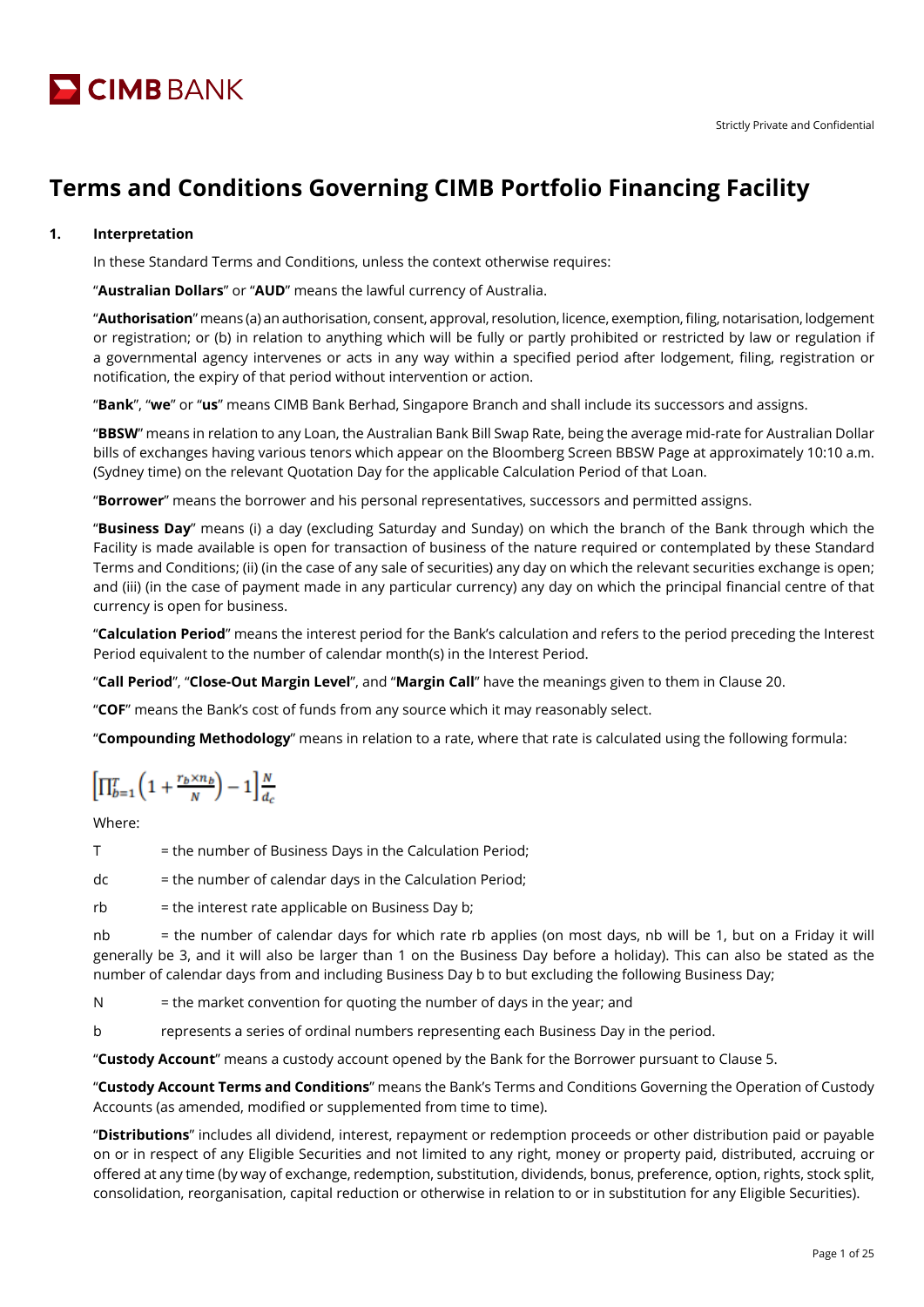

# **Terms and Conditions Governing CIMB Portfolio Financing Facility**

# **1. Interpretation**

In these Standard Terms and Conditions, unless the context otherwise requires:

"**Australian Dollars**" or "**AUD**" means the lawful currency of Australia.

"**Authorisation**" means (a) an authorisation, consent, approval, resolution, licence, exemption, filing, notarisation, lodgement or registration; or (b) in relation to anything which will be fully or partly prohibited or restricted by law or regulation if a governmental agency intervenes or acts in any way within a specified period after lodgement, filing, registration or notification, the expiry of that period without intervention or action.

"**Bank**", "**we**" or "**us**" means CIMB Bank Berhad, Singapore Branch and shall include its successors and assigns.

"**BBSW**" means in relation to any Loan, the Australian Bank Bill Swap Rate, being the average mid-rate for Australian Dollar bills of exchanges having various tenors which appear on the Bloomberg Screen BBSW Page at approximately 10:10 a.m. (Sydney time) on the relevant Quotation Day for the applicable Calculation Period of that Loan.

"**Borrower**" means the borrower and his personal representatives, successors and permitted assigns.

"**Business Day**" means (i) a day (excluding Saturday and Sunday) on which the branch of the Bank through which the Facility is made available is open for transaction of business of the nature required or contemplated by these Standard Terms and Conditions; (ii) (in the case of any sale of securities) any day on which the relevant securities exchange is open; and (iii) (in the case of payment made in any particular currency) any day on which the principal financial centre of that currency is open for business.

"**Calculation Period**" means the interest period for the Bank's calculation and refers to the period preceding the Interest Period equivalent to the number of calendar month(s) in the Interest Period.

"**Call Period**", "**Close-Out Margin Level**", and "**Margin Call**" have the meanings given to them in Clause 20.

"**COF**" means the Bank's cost of funds from any source which it may reasonably select.

"**Compounding Methodology**" means in relation to a rate, where that rate is calculated using the following formula:

$$
\Big[\Pi_{b=1}^T\Big(1+\tfrac{r_b\times n_b}{\sqrt{N}}\Big)-1\Big]\tfrac{N}{d_c}
$$

Where:

T = the number of Business Days in the Calculation Period;

 $dc = the number of calendar days in the Calculation Period;$ 

 $rb = the interest rate applicable on Business Day b;$ 

nb = the number of calendar days for which rate rb applies (on most days, nb will be 1, but on a Friday it will generally be 3, and it will also be larger than 1 on the Business Day before a holiday). This can also be stated as the number of calendar days from and including Business Day b to but excluding the following Business Day;

 $N =$  the market convention for quoting the number of days in the year; and

b represents a series of ordinal numbers representing each Business Day in the period.

"**Custody Account**" means a custody account opened by the Bank for the Borrower pursuant to Clause 5.

"**Custody Account Terms and Conditions**" means the Bank's Terms and Conditions Governing the Operation of Custody Accounts (as amended, modified or supplemented from time to time).

"**Distributions**" includes all dividend, interest, repayment or redemption proceeds or other distribution paid or payable on or in respect of any Eligible Securities and not limited to any right, money or property paid, distributed, accruing or offered at any time (by way of exchange, redemption, substitution, dividends, bonus, preference, option, rights, stock split, consolidation, reorganisation, capital reduction or otherwise in relation to or in substitution for any Eligible Securities).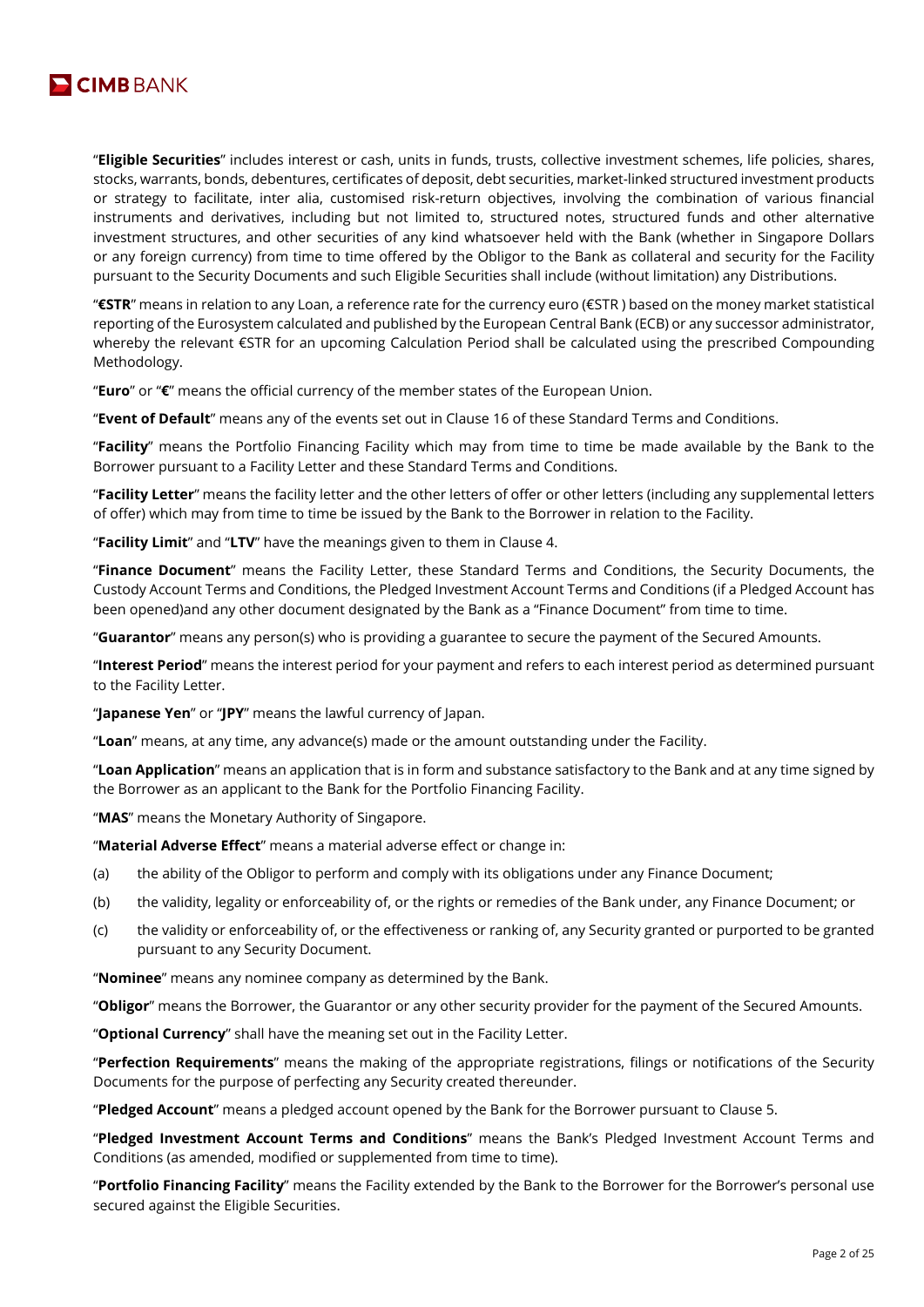

"**Eligible Securities**" includes interest or cash, units in funds, trusts, collective investment schemes, life policies, shares, stocks, warrants, bonds, debentures, certificates of deposit, debt securities, market-linked structured investment products or strategy to facilitate, inter alia, customised risk-return objectives, involving the combination of various financial instruments and derivatives, including but not limited to, structured notes, structured funds and other alternative investment structures, and other securities of any kind whatsoever held with the Bank (whether in Singapore Dollars or any foreign currency) from time to time offered by the Obligor to the Bank as collateral and security for the Facility pursuant to the Security Documents and such Eligible Securities shall include (without limitation) any Distributions.

"**€STR**" means in relation to any Loan, a reference rate for the currency euro (€STR ) based on the money market statistical reporting of the Eurosystem calculated and published by the European Central Bank (ECB) or any successor administrator, whereby the relevant €STR for an upcoming Calculation Period shall be calculated using the prescribed Compounding Methodology.

"**Euro**" or "**€**" means the official currency of the member states of the European Union.

"**Event of Default**" means any of the events set out in Clause 16 of these Standard Terms and Conditions.

"**Facility**" means the Portfolio Financing Facility which may from time to time be made available by the Bank to the Borrower pursuant to a Facility Letter and these Standard Terms and Conditions.

"**Facility Letter**" means the facility letter and the other letters of offer or other letters (including any supplemental letters of offer) which may from time to time be issued by the Bank to the Borrower in relation to the Facility.

"**Facility Limit**" and "**LTV**" have the meanings given to them in Clause 4.

"**Finance Document**" means the Facility Letter, these Standard Terms and Conditions, the Security Documents, the Custody Account Terms and Conditions, the Pledged Investment Account Terms and Conditions (if a Pledged Account has been opened)and any other document designated by the Bank as a "Finance Document" from time to time.

"**Guarantor**" means any person(s) who is providing a guarantee to secure the payment of the Secured Amounts.

"**Interest Period**" means the interest period for your payment and refers to each interest period as determined pursuant to the Facility Letter.

"**Japanese Yen**" or "**JPY**" means the lawful currency of Japan.

"**Loan**" means, at any time, any advance(s) made or the amount outstanding under the Facility.

"**Loan Application**" means an application that is in form and substance satisfactory to the Bank and at any time signed by the Borrower as an applicant to the Bank for the Portfolio Financing Facility.

"**MAS**" means the Monetary Authority of Singapore.

"**Material Adverse Effect**" means a material adverse effect or change in:

- (a) the ability of the Obligor to perform and comply with its obligations under any Finance Document;
- (b) the validity, legality or enforceability of, or the rights or remedies of the Bank under, any Finance Document; or
- (c) the validity or enforceability of, or the effectiveness or ranking of, any Security granted or purported to be granted pursuant to any Security Document.

"**Nominee**" means any nominee company as determined by the Bank.

"**Obligor**" means the Borrower, the Guarantor or any other security provider for the payment of the Secured Amounts.

"**Optional Currency**" shall have the meaning set out in the Facility Letter.

"**Perfection Requirements**" means the making of the appropriate registrations, filings or notifications of the Security Documents for the purpose of perfecting any Security created thereunder.

"**Pledged Account**" means a pledged account opened by the Bank for the Borrower pursuant to Clause 5.

"**Pledged Investment Account Terms and Conditions**" means the Bank's Pledged Investment Account Terms and Conditions (as amended, modified or supplemented from time to time).

"**Portfolio Financing Facility**" means the Facility extended by the Bank to the Borrower for the Borrower's personal use secured against the Eligible Securities.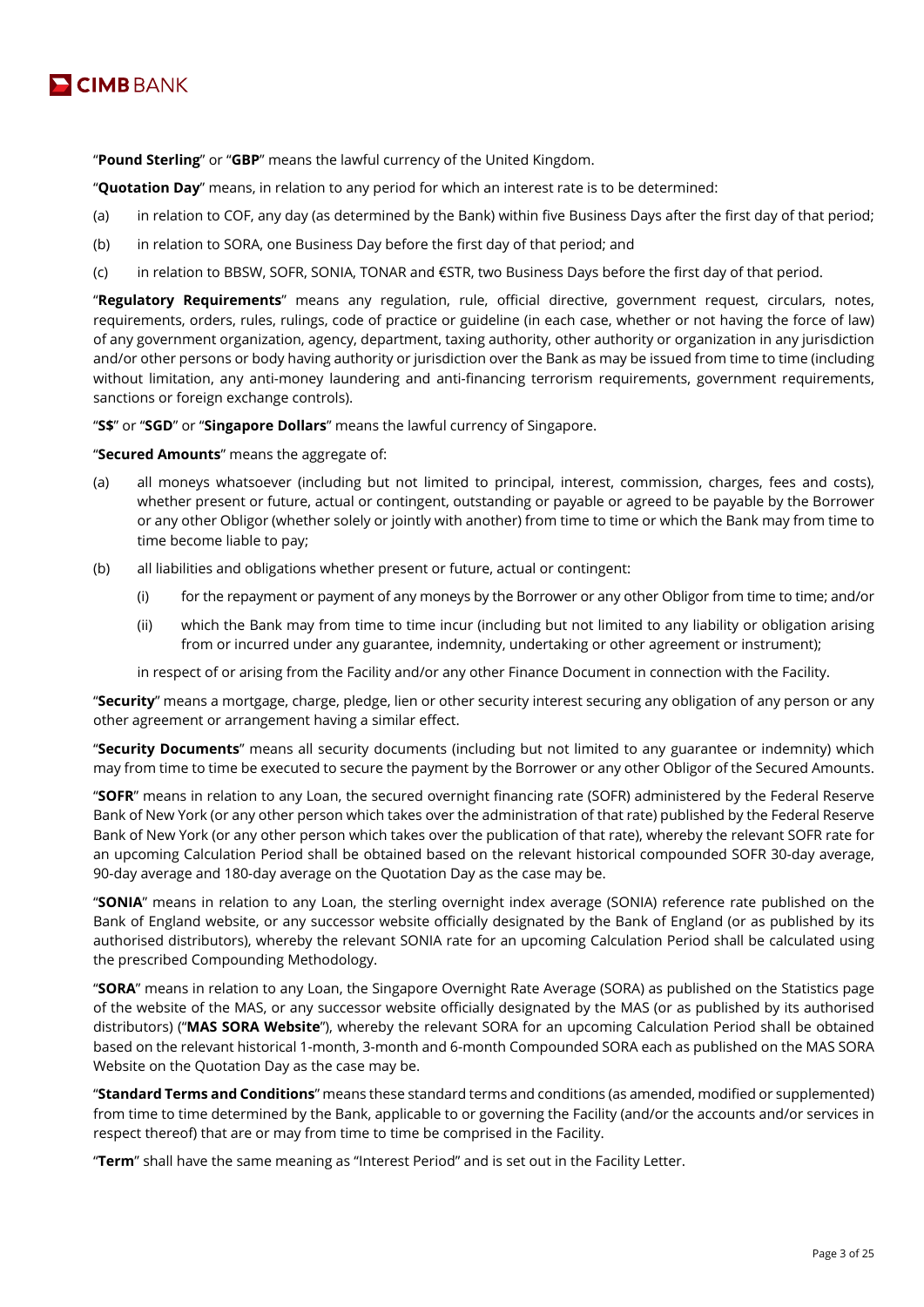

"**Pound Sterling**" or "**GBP**" means the lawful currency of the United Kingdom.

"**Quotation Day**" means, in relation to any period for which an interest rate is to be determined:

- (a) in relation to COF, any day (as determined by the Bank) within five Business Days after the first day of that period;
- (b) in relation to SORA, one Business Day before the first day of that period; and
- (c) in relation to BBSW, SOFR, SONIA, TONAR and €STR, two Business Days before the first day of that period.

"**Regulatory Requirements**" means any regulation, rule, official directive, government request, circulars, notes, requirements, orders, rules, rulings, code of practice or guideline (in each case, whether or not having the force of law) of any government organization, agency, department, taxing authority, other authority or organization in any jurisdiction and/or other persons or body having authority or jurisdiction over the Bank as may be issued from time to time (including without limitation, any anti-money laundering and anti-financing terrorism requirements, government requirements, sanctions or foreign exchange controls).

"**S\$**" or "**SGD**" or "**Singapore Dollars**" means the lawful currency of Singapore.

"**Secured Amounts**" means the aggregate of:

- (a) all moneys whatsoever (including but not limited to principal, interest, commission, charges, fees and costs), whether present or future, actual or contingent, outstanding or payable or agreed to be payable by the Borrower or any other Obligor (whether solely or jointly with another) from time to time or which the Bank may from time to time become liable to pay;
- (b) all liabilities and obligations whether present or future, actual or contingent:
	- (i) for the repayment or payment of any moneys by the Borrower or any other Obligor from time to time; and/or
	- (ii) which the Bank may from time to time incur (including but not limited to any liability or obligation arising from or incurred under any guarantee, indemnity, undertaking or other agreement or instrument);

in respect of or arising from the Facility and/or any other Finance Document in connection with the Facility.

"**Security**" means a mortgage, charge, pledge, lien or other security interest securing any obligation of any person or any other agreement or arrangement having a similar effect.

"**Security Documents**" means all security documents (including but not limited to any guarantee or indemnity) which may from time to time be executed to secure the payment by the Borrower or any other Obligor of the Secured Amounts.

"**SOFR**" means in relation to any Loan, the secured overnight financing rate (SOFR) administered by the Federal Reserve Bank of New York (or any other person which takes over the administration of that rate) published by the Federal Reserve Bank of New York (or any other person which takes over the publication of that rate), whereby the relevant SOFR rate for an upcoming Calculation Period shall be obtained based on the relevant historical compounded SOFR 30-day average, 90-day average and 180-day average on the Quotation Day as the case may be.

"**SONIA**" means in relation to any Loan, the sterling overnight index average (SONIA) reference rate published on the Bank of England website, or any successor website officially designated by the Bank of England (or as published by its authorised distributors), whereby the relevant SONIA rate for an upcoming Calculation Period shall be calculated using the prescribed Compounding Methodology.

"**SORA**" means in relation to any Loan, the Singapore Overnight Rate Average (SORA) as published on the Statistics page of the website of the MAS, or any successor website officially designated by the MAS (or as published by its authorised distributors) ("**MAS SORA Website**"), whereby the relevant SORA for an upcoming Calculation Period shall be obtained based on the relevant historical 1-month, 3-month and 6-month Compounded SORA each as published on the MAS SORA Website on the Quotation Day as the case may be.

"**Standard Terms and Conditions**" means these standard terms and conditions (as amended, modified or supplemented) from time to time determined by the Bank, applicable to or governing the Facility (and/or the accounts and/or services in respect thereof) that are or may from time to time be comprised in the Facility.

"**Term**" shall have the same meaning as "Interest Period" and is set out in the Facility Letter.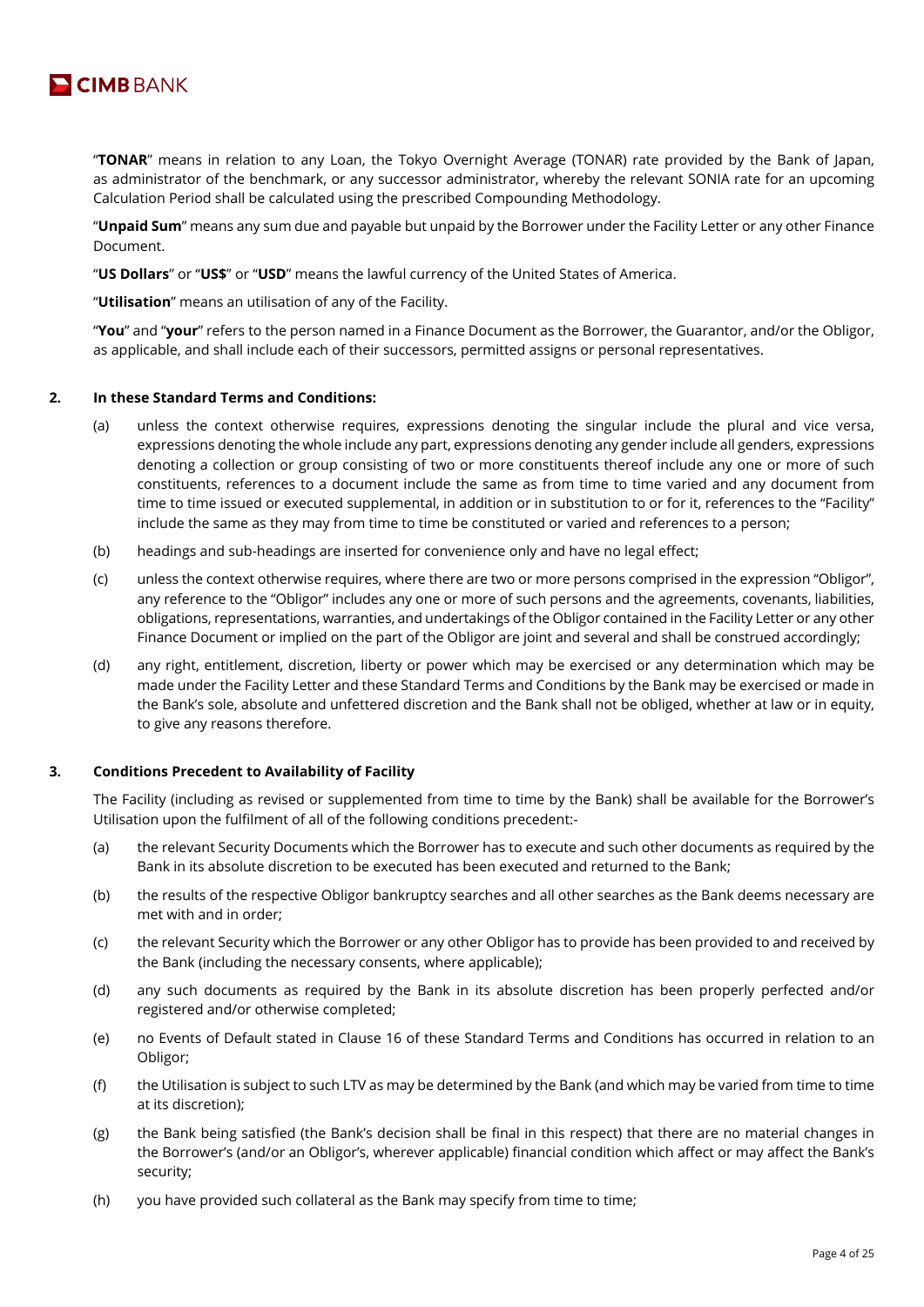

"**TONAR**" means in relation to any Loan, the Tokyo Overnight Average (TONAR) rate provided by the Bank of Japan, as administrator of the benchmark, or any successor administrator, whereby the relevant SONIA rate for an upcoming Calculation Period shall be calculated using the prescribed Compounding Methodology.

"**Unpaid Sum**" means any sum due and payable but unpaid by the Borrower under the Facility Letter or any other Finance Document.

"**US Dollars**" or "**US\$**" or "**USD**" means the lawful currency of the United States of America.

"**Utilisation**" means an utilisation of any of the Facility.

"**You**" and "**your**" refers to the person named in a Finance Document as the Borrower, the Guarantor, and/or the Obligor, as applicable, and shall include each of their successors, permitted assigns or personal representatives.

#### **2. In these Standard Terms and Conditions:**

- (a) unless the context otherwise requires, expressions denoting the singular include the plural and vice versa, expressions denoting the whole include any part, expressions denoting any gender include all genders, expressions denoting a collection or group consisting of two or more constituents thereof include any one or more of such constituents, references to a document include the same as from time to time varied and any document from time to time issued or executed supplemental, in addition or in substitution to or for it, references to the "Facility" include the same as they may from time to time be constituted or varied and references to a person;
- (b) headings and sub-headings are inserted for convenience only and have no legal effect;
- (c) unless the context otherwise requires, where there are two or more persons comprised in the expression "Obligor", any reference to the "Obligor" includes any one or more of such persons and the agreements, covenants, liabilities, obligations, representations, warranties, and undertakings of the Obligor contained in the Facility Letter or any other Finance Document or implied on the part of the Obligor are joint and several and shall be construed accordingly;
- (d) any right, entitlement, discretion, liberty or power which may be exercised or any determination which may be made under the Facility Letter and these Standard Terms and Conditions by the Bank may be exercised or made in the Bank's sole, absolute and unfettered discretion and the Bank shall not be obliged, whether at law or in equity, to give any reasons therefore.

## **3. Conditions Precedent to Availability of Facility**

The Facility (including as revised or supplemented from time to time by the Bank) shall be available for the Borrower's Utilisation upon the fulfilment of all of the following conditions precedent:-

- (a) the relevant Security Documents which the Borrower has to execute and such other documents as required by the Bank in its absolute discretion to be executed has been executed and returned to the Bank;
- (b) the results of the respective Obligor bankruptcy searches and all other searches as the Bank deems necessary are met with and in order;
- (c) the relevant Security which the Borrower or any other Obligor has to provide has been provided to and received by the Bank (including the necessary consents, where applicable);
- (d) any such documents as required by the Bank in its absolute discretion has been properly perfected and/or registered and/or otherwise completed;
- (e) no Events of Default stated in Clause 16 of these Standard Terms and Conditions has occurred in relation to an Obligor;
- (f) the Utilisation is subject to such LTV as may be determined by the Bank (and which may be varied from time to time at its discretion);
- (g) the Bank being satisfied (the Bank's decision shall be final in this respect) that there are no material changes in the Borrower's (and/or an Obligor's, wherever applicable) financial condition which affect or may affect the Bank's security;
- (h) you have provided such collateral as the Bank may specify from time to time;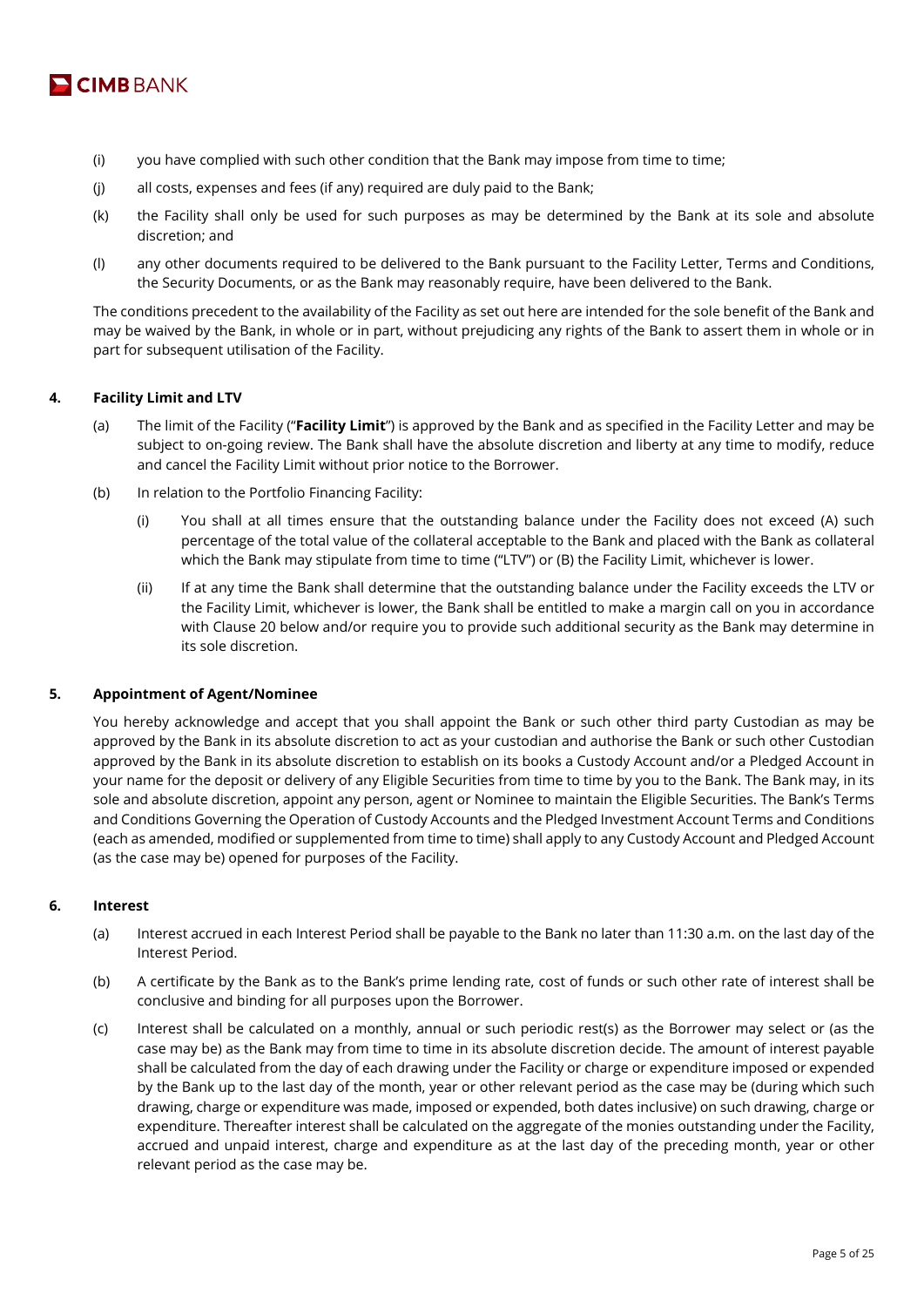

- (i) you have complied with such other condition that the Bank may impose from time to time;
- (j) all costs, expenses and fees (if any) required are duly paid to the Bank;
- (k) the Facility shall only be used for such purposes as may be determined by the Bank at its sole and absolute discretion; and
- (l) any other documents required to be delivered to the Bank pursuant to the Facility Letter, Terms and Conditions, the Security Documents, or as the Bank may reasonably require, have been delivered to the Bank.

The conditions precedent to the availability of the Facility as set out here are intended for the sole benefit of the Bank and may be waived by the Bank, in whole or in part, without prejudicing any rights of the Bank to assert them in whole or in part for subsequent utilisation of the Facility.

## **4. Facility Limit and LTV**

- (a) The limit of the Facility ("**Facility Limit**") is approved by the Bank and as specified in the Facility Letter and may be subject to on-going review. The Bank shall have the absolute discretion and liberty at any time to modify, reduce and cancel the Facility Limit without prior notice to the Borrower.
- (b) In relation to the Portfolio Financing Facility:
	- (i) You shall at all times ensure that the outstanding balance under the Facility does not exceed (A) such percentage of the total value of the collateral acceptable to the Bank and placed with the Bank as collateral which the Bank may stipulate from time to time ("LTV") or (B) the Facility Limit, whichever is lower.
	- (ii) If at any time the Bank shall determine that the outstanding balance under the Facility exceeds the LTV or the Facility Limit, whichever is lower, the Bank shall be entitled to make a margin call on you in accordance with Clause 20 below and/or require you to provide such additional security as the Bank may determine in its sole discretion.

## **5. Appointment of Agent/Nominee**

You hereby acknowledge and accept that you shall appoint the Bank or such other third party Custodian as may be approved by the Bank in its absolute discretion to act as your custodian and authorise the Bank or such other Custodian approved by the Bank in its absolute discretion to establish on its books a Custody Account and/or a Pledged Account in your name for the deposit or delivery of any Eligible Securities from time to time by you to the Bank. The Bank may, in its sole and absolute discretion, appoint any person, agent or Nominee to maintain the Eligible Securities. The Bank's Terms and Conditions Governing the Operation of Custody Accounts and the Pledged Investment Account Terms and Conditions (each as amended, modified or supplemented from time to time) shall apply to any Custody Account and Pledged Account (as the case may be) opened for purposes of the Facility.

# **6. Interest**

- (a) Interest accrued in each Interest Period shall be payable to the Bank no later than 11:30 a.m. on the last day of the Interest Period.
- (b) A certificate by the Bank as to the Bank's prime lending rate, cost of funds or such other rate of interest shall be conclusive and binding for all purposes upon the Borrower.
- (c) Interest shall be calculated on a monthly, annual or such periodic rest(s) as the Borrower may select or (as the case may be) as the Bank may from time to time in its absolute discretion decide. The amount of interest payable shall be calculated from the day of each drawing under the Facility or charge or expenditure imposed or expended by the Bank up to the last day of the month, year or other relevant period as the case may be (during which such drawing, charge or expenditure was made, imposed or expended, both dates inclusive) on such drawing, charge or expenditure. Thereafter interest shall be calculated on the aggregate of the monies outstanding under the Facility, accrued and unpaid interest, charge and expenditure as at the last day of the preceding month, year or other relevant period as the case may be.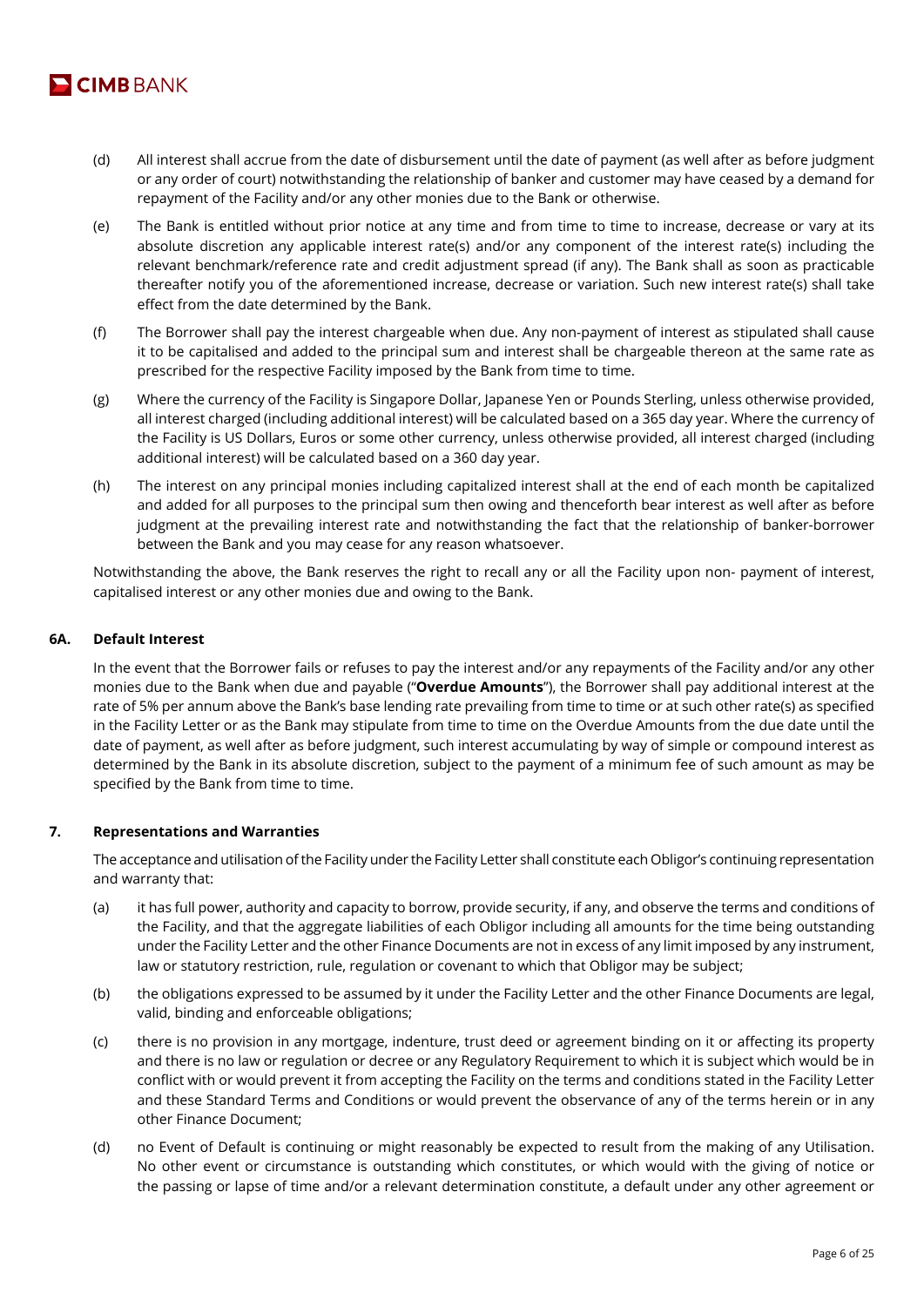

- (d) All interest shall accrue from the date of disbursement until the date of payment (as well after as before judgment or any order of court) notwithstanding the relationship of banker and customer may have ceased by a demand for repayment of the Facility and/or any other monies due to the Bank or otherwise.
- (e) The Bank is entitled without prior notice at any time and from time to time to increase, decrease or vary at its absolute discretion any applicable interest rate(s) and/or any component of the interest rate(s) including the relevant benchmark/reference rate and credit adjustment spread (if any). The Bank shall as soon as practicable thereafter notify you of the aforementioned increase, decrease or variation. Such new interest rate(s) shall take effect from the date determined by the Bank.
- (f) The Borrower shall pay the interest chargeable when due. Any non-payment of interest as stipulated shall cause it to be capitalised and added to the principal sum and interest shall be chargeable thereon at the same rate as prescribed for the respective Facility imposed by the Bank from time to time.
- (g) Where the currency of the Facility is Singapore Dollar, Japanese Yen or Pounds Sterling, unless otherwise provided, all interest charged (including additional interest) will be calculated based on a 365 day year. Where the currency of the Facility is US Dollars, Euros or some other currency, unless otherwise provided, all interest charged (including additional interest) will be calculated based on a 360 day year.
- (h) The interest on any principal monies including capitalized interest shall at the end of each month be capitalized and added for all purposes to the principal sum then owing and thenceforth bear interest as well after as before judgment at the prevailing interest rate and notwithstanding the fact that the relationship of banker-borrower between the Bank and you may cease for any reason whatsoever.

Notwithstanding the above, the Bank reserves the right to recall any or all the Facility upon non- payment of interest, capitalised interest or any other monies due and owing to the Bank.

# **6A. Default Interest**

In the event that the Borrower fails or refuses to pay the interest and/or any repayments of the Facility and/or any other monies due to the Bank when due and payable ("**Overdue Amounts**"), the Borrower shall pay additional interest at the rate of 5% per annum above the Bank's base lending rate prevailing from time to time or at such other rate(s) as specified in the Facility Letter or as the Bank may stipulate from time to time on the Overdue Amounts from the due date until the date of payment, as well after as before judgment, such interest accumulating by way of simple or compound interest as determined by the Bank in its absolute discretion, subject to the payment of a minimum fee of such amount as may be specified by the Bank from time to time.

# **7. Representations and Warranties**

The acceptance and utilisation of the Facility under the Facility Letter shall constitute each Obligor's continuing representation and warranty that:

- (a) it has full power, authority and capacity to borrow, provide security, if any, and observe the terms and conditions of the Facility, and that the aggregate liabilities of each Obligor including all amounts for the time being outstanding under the Facility Letter and the other Finance Documents are not in excess of any limit imposed by any instrument, law or statutory restriction, rule, regulation or covenant to which that Obligor may be subject;
- (b) the obligations expressed to be assumed by it under the Facility Letter and the other Finance Documents are legal, valid, binding and enforceable obligations;
- (c) there is no provision in any mortgage, indenture, trust deed or agreement binding on it or affecting its property and there is no law or regulation or decree or any Regulatory Requirement to which it is subject which would be in conflict with or would prevent it from accepting the Facility on the terms and conditions stated in the Facility Letter and these Standard Terms and Conditions or would prevent the observance of any of the terms herein or in any other Finance Document;
- (d) no Event of Default is continuing or might reasonably be expected to result from the making of any Utilisation. No other event or circumstance is outstanding which constitutes, or which would with the giving of notice or the passing or lapse of time and/or a relevant determination constitute, a default under any other agreement or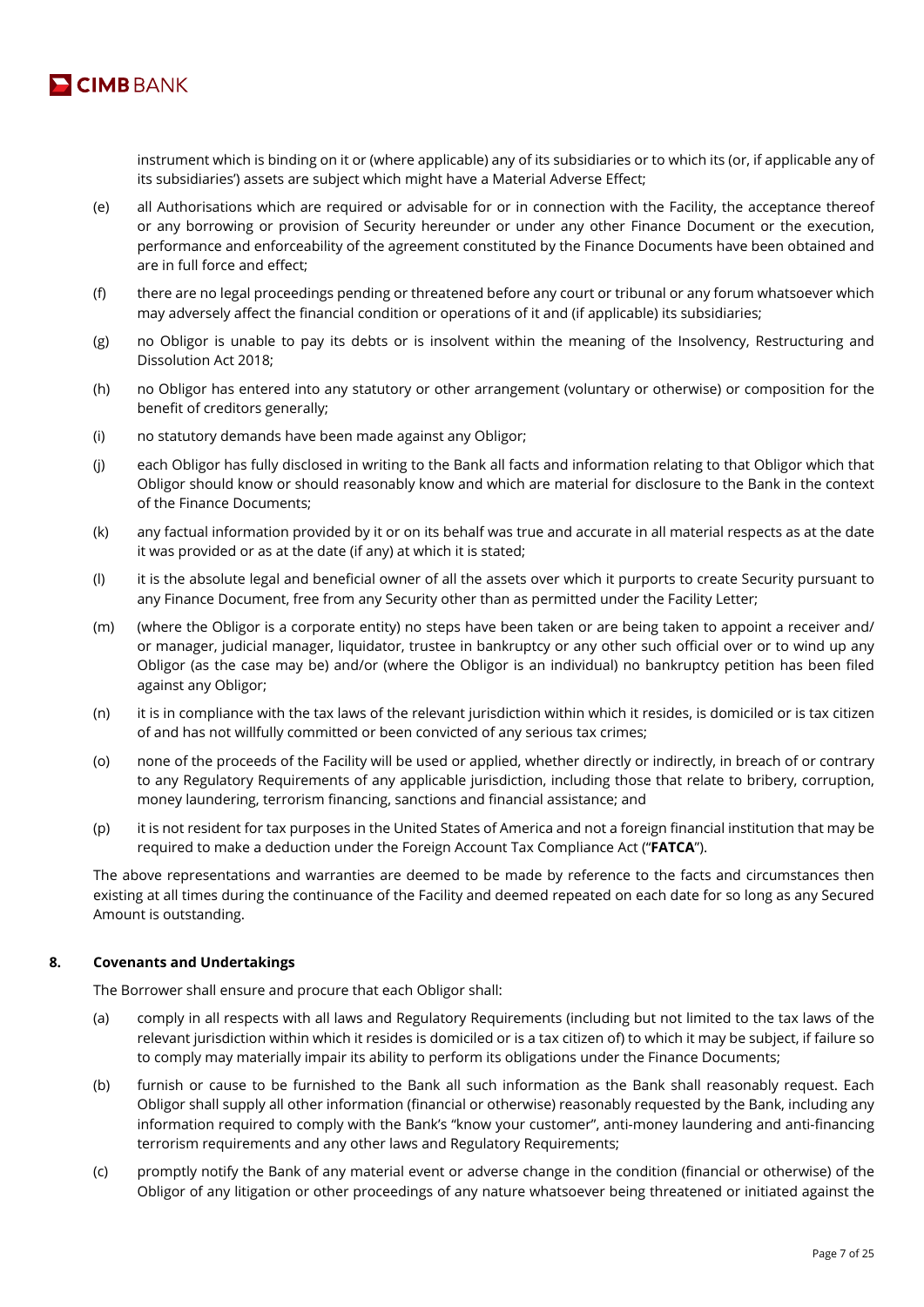

instrument which is binding on it or (where applicable) any of its subsidiaries or to which its (or, if applicable any of its subsidiaries') assets are subject which might have a Material Adverse Effect;

- (e) all Authorisations which are required or advisable for or in connection with the Facility, the acceptance thereof or any borrowing or provision of Security hereunder or under any other Finance Document or the execution, performance and enforceability of the agreement constituted by the Finance Documents have been obtained and are in full force and effect;
- (f) there are no legal proceedings pending or threatened before any court or tribunal or any forum whatsoever which may adversely affect the financial condition or operations of it and (if applicable) its subsidiaries;
- (g) no Obligor is unable to pay its debts or is insolvent within the meaning of the Insolvency, Restructuring and Dissolution Act 2018;
- (h) no Obligor has entered into any statutory or other arrangement (voluntary or otherwise) or composition for the benefit of creditors generally;
- (i) no statutory demands have been made against any Obligor;
- (j) each Obligor has fully disclosed in writing to the Bank all facts and information relating to that Obligor which that Obligor should know or should reasonably know and which are material for disclosure to the Bank in the context of the Finance Documents;
- (k) any factual information provided by it or on its behalf was true and accurate in all material respects as at the date it was provided or as at the date (if any) at which it is stated;
- (l) it is the absolute legal and beneficial owner of all the assets over which it purports to create Security pursuant to any Finance Document, free from any Security other than as permitted under the Facility Letter;
- (m) (where the Obligor is a corporate entity) no steps have been taken or are being taken to appoint a receiver and/ or manager, judicial manager, liquidator, trustee in bankruptcy or any other such official over or to wind up any Obligor (as the case may be) and/or (where the Obligor is an individual) no bankruptcy petition has been filed against any Obligor;
- (n) it is in compliance with the tax laws of the relevant jurisdiction within which it resides, is domiciled or is tax citizen of and has not willfully committed or been convicted of any serious tax crimes;
- (o) none of the proceeds of the Facility will be used or applied, whether directly or indirectly, in breach of or contrary to any Regulatory Requirements of any applicable jurisdiction, including those that relate to bribery, corruption, money laundering, terrorism financing, sanctions and financial assistance; and
- (p) it is not resident for tax purposes in the United States of America and not a foreign financial institution that may be required to make a deduction under the Foreign Account Tax Compliance Act ("**FATCA**").

The above representations and warranties are deemed to be made by reference to the facts and circumstances then existing at all times during the continuance of the Facility and deemed repeated on each date for so long as any Secured Amount is outstanding.

## **8. Covenants and Undertakings**

The Borrower shall ensure and procure that each Obligor shall:

- (a) comply in all respects with all laws and Regulatory Requirements (including but not limited to the tax laws of the relevant jurisdiction within which it resides is domiciled or is a tax citizen of) to which it may be subject, if failure so to comply may materially impair its ability to perform its obligations under the Finance Documents;
- (b) furnish or cause to be furnished to the Bank all such information as the Bank shall reasonably request. Each Obligor shall supply all other information (financial or otherwise) reasonably requested by the Bank, including any information required to comply with the Bank's "know your customer", anti-money laundering and anti-financing terrorism requirements and any other laws and Regulatory Requirements;
- (c) promptly notify the Bank of any material event or adverse change in the condition (financial or otherwise) of the Obligor of any litigation or other proceedings of any nature whatsoever being threatened or initiated against the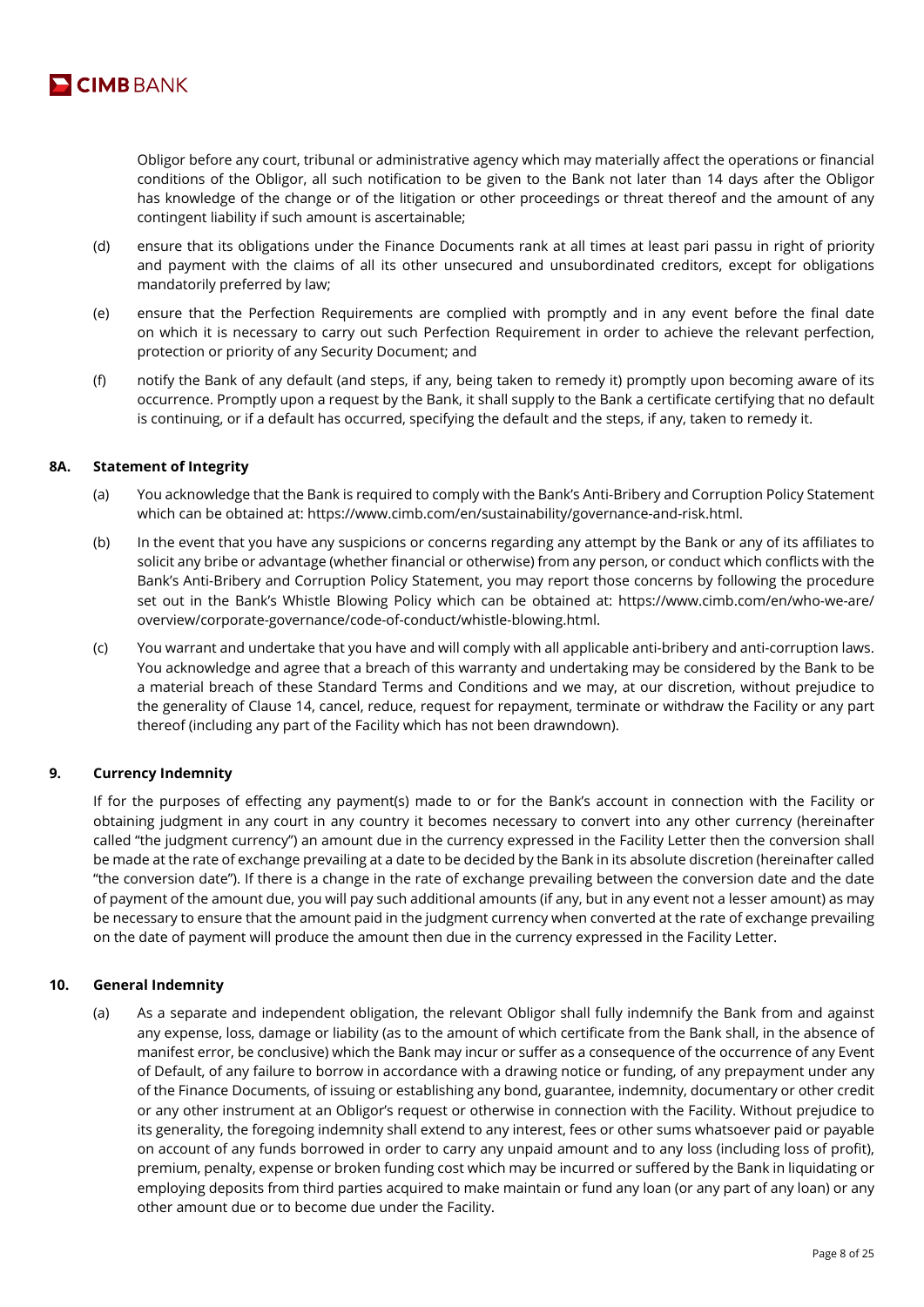

Obligor before any court, tribunal or administrative agency which may materially affect the operations or financial conditions of the Obligor, all such notification to be given to the Bank not later than 14 days after the Obligor has knowledge of the change or of the litigation or other proceedings or threat thereof and the amount of any contingent liability if such amount is ascertainable;

- (d) ensure that its obligations under the Finance Documents rank at all times at least pari passu in right of priority and payment with the claims of all its other unsecured and unsubordinated creditors, except for obligations mandatorily preferred by law;
- (e) ensure that the Perfection Requirements are complied with promptly and in any event before the final date on which it is necessary to carry out such Perfection Requirement in order to achieve the relevant perfection, protection or priority of any Security Document; and
- (f) notify the Bank of any default (and steps, if any, being taken to remedy it) promptly upon becoming aware of its occurrence. Promptly upon a request by the Bank, it shall supply to the Bank a certificate certifying that no default is continuing, or if a default has occurred, specifying the default and the steps, if any, taken to remedy it.

## **8A. Statement of Integrity**

- (a) You acknowledge that the Bank is required to comply with the Bank's Anti-Bribery and Corruption Policy Statement which can be obtained at: https://www.cimb.com/en/sustainability/governance-and-risk.html.
- (b) In the event that you have any suspicions or concerns regarding any attempt by the Bank or any of its affiliates to solicit any bribe or advantage (whether financial or otherwise) from any person, or conduct which conflicts with the Bank's Anti-Bribery and Corruption Policy Statement, you may report those concerns by following the procedure set out in the Bank's Whistle Blowing Policy which can be obtained at: https://www.cimb.com/en/who-we-are/ overview/corporate-governance/code-of-conduct/whistle-blowing.html.
- (c) You warrant and undertake that you have and will comply with all applicable anti-bribery and anti-corruption laws. You acknowledge and agree that a breach of this warranty and undertaking may be considered by the Bank to be a material breach of these Standard Terms and Conditions and we may, at our discretion, without prejudice to the generality of Clause 14, cancel, reduce, request for repayment, terminate or withdraw the Facility or any part thereof (including any part of the Facility which has not been drawndown).

# **9. Currency Indemnity**

If for the purposes of effecting any payment(s) made to or for the Bank's account in connection with the Facility or obtaining judgment in any court in any country it becomes necessary to convert into any other currency (hereinafter called "the judgment currency") an amount due in the currency expressed in the Facility Letter then the conversion shall be made at the rate of exchange prevailing at a date to be decided by the Bank in its absolute discretion (hereinafter called "the conversion date"). If there is a change in the rate of exchange prevailing between the conversion date and the date of payment of the amount due, you will pay such additional amounts (if any, but in any event not a lesser amount) as may be necessary to ensure that the amount paid in the judgment currency when converted at the rate of exchange prevailing on the date of payment will produce the amount then due in the currency expressed in the Facility Letter.

## **10. General Indemnity**

(a) As a separate and independent obligation, the relevant Obligor shall fully indemnify the Bank from and against any expense, loss, damage or liability (as to the amount of which certificate from the Bank shall, in the absence of manifest error, be conclusive) which the Bank may incur or suffer as a consequence of the occurrence of any Event of Default, of any failure to borrow in accordance with a drawing notice or funding, of any prepayment under any of the Finance Documents, of issuing or establishing any bond, guarantee, indemnity, documentary or other credit or any other instrument at an Obligor's request or otherwise in connection with the Facility. Without prejudice to its generality, the foregoing indemnity shall extend to any interest, fees or other sums whatsoever paid or payable on account of any funds borrowed in order to carry any unpaid amount and to any loss (including loss of profit), premium, penalty, expense or broken funding cost which may be incurred or suffered by the Bank in liquidating or employing deposits from third parties acquired to make maintain or fund any loan (or any part of any loan) or any other amount due or to become due under the Facility.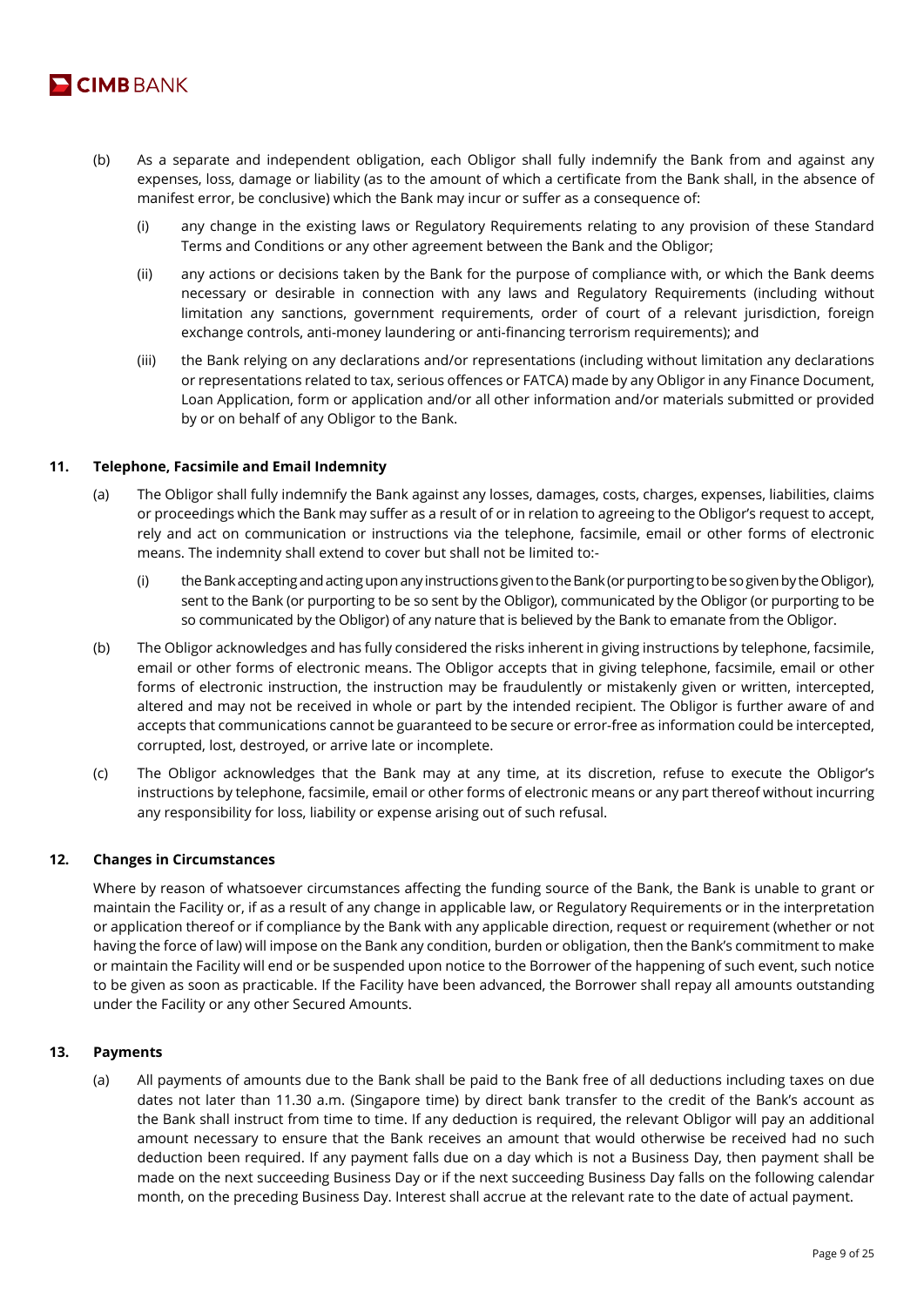

- (b) As a separate and independent obligation, each Obligor shall fully indemnify the Bank from and against any expenses, loss, damage or liability (as to the amount of which a certificate from the Bank shall, in the absence of manifest error, be conclusive) which the Bank may incur or suffer as a consequence of:
	- (i) any change in the existing laws or Regulatory Requirements relating to any provision of these Standard Terms and Conditions or any other agreement between the Bank and the Obligor;
	- (ii) any actions or decisions taken by the Bank for the purpose of compliance with, or which the Bank deems necessary or desirable in connection with any laws and Regulatory Requirements (including without limitation any sanctions, government requirements, order of court of a relevant jurisdiction, foreign exchange controls, anti-money laundering or anti-financing terrorism requirements); and
	- (iii) the Bank relying on any declarations and/or representations (including without limitation any declarations or representations related to tax, serious offences or FATCA) made by any Obligor in any Finance Document, Loan Application, form or application and/or all other information and/or materials submitted or provided by or on behalf of any Obligor to the Bank.

## **11. Telephone, Facsimile and Email Indemnity**

- (a) The Obligor shall fully indemnify the Bank against any losses, damages, costs, charges, expenses, liabilities, claims or proceedings which the Bank may suffer as a result of or in relation to agreeing to the Obligor's request to accept, rely and act on communication or instructions via the telephone, facsimile, email or other forms of electronic means. The indemnity shall extend to cover but shall not be limited to:-
	- (i) the Bank accepting and acting upon any instructions given to the Bank (or purporting to be so given by the Obligor), sent to the Bank (or purporting to be so sent by the Obligor), communicated by the Obligor (or purporting to be so communicated by the Obligor) of any nature that is believed by the Bank to emanate from the Obligor.
- (b) The Obligor acknowledges and has fully considered the risks inherent in giving instructions by telephone, facsimile, email or other forms of electronic means. The Obligor accepts that in giving telephone, facsimile, email or other forms of electronic instruction, the instruction may be fraudulently or mistakenly given or written, intercepted, altered and may not be received in whole or part by the intended recipient. The Obligor is further aware of and accepts that communications cannot be guaranteed to be secure or error-free as information could be intercepted, corrupted, lost, destroyed, or arrive late or incomplete.
- (c) The Obligor acknowledges that the Bank may at any time, at its discretion, refuse to execute the Obligor's instructions by telephone, facsimile, email or other forms of electronic means or any part thereof without incurring any responsibility for loss, liability or expense arising out of such refusal.

## **12. Changes in Circumstances**

Where by reason of whatsoever circumstances affecting the funding source of the Bank, the Bank is unable to grant or maintain the Facility or, if as a result of any change in applicable law, or Regulatory Requirements or in the interpretation or application thereof or if compliance by the Bank with any applicable direction, request or requirement (whether or not having the force of law) will impose on the Bank any condition, burden or obligation, then the Bank's commitment to make or maintain the Facility will end or be suspended upon notice to the Borrower of the happening of such event, such notice to be given as soon as practicable. If the Facility have been advanced, the Borrower shall repay all amounts outstanding under the Facility or any other Secured Amounts.

## **13. Payments**

(a) All payments of amounts due to the Bank shall be paid to the Bank free of all deductions including taxes on due dates not later than 11.30 a.m. (Singapore time) by direct bank transfer to the credit of the Bank's account as the Bank shall instruct from time to time. If any deduction is required, the relevant Obligor will pay an additional amount necessary to ensure that the Bank receives an amount that would otherwise be received had no such deduction been required. If any payment falls due on a day which is not a Business Day, then payment shall be made on the next succeeding Business Day or if the next succeeding Business Day falls on the following calendar month, on the preceding Business Day. Interest shall accrue at the relevant rate to the date of actual payment.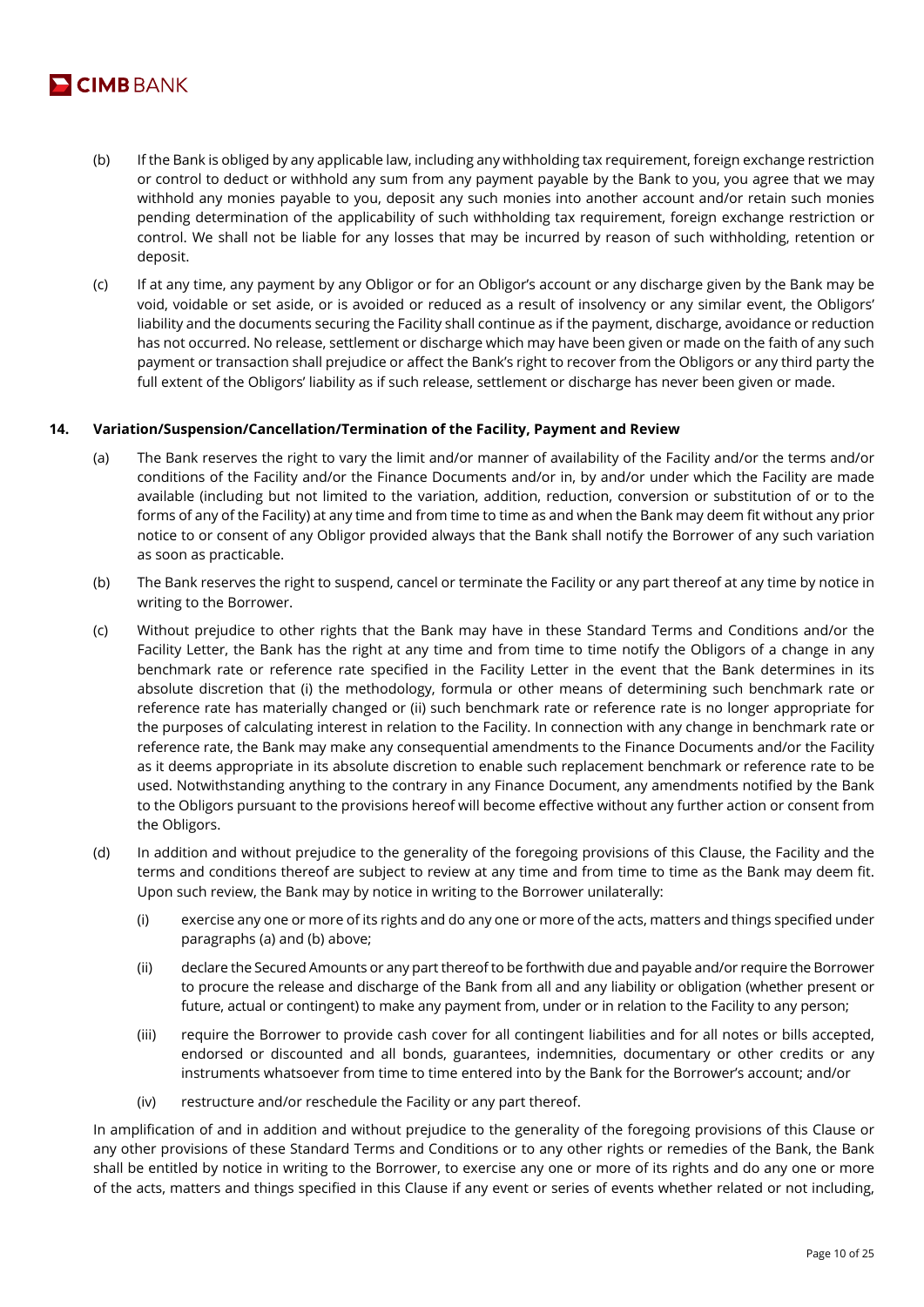

- (b) If the Bank is obliged by any applicable law, including any withholding tax requirement, foreign exchange restriction or control to deduct or withhold any sum from any payment payable by the Bank to you, you agree that we may withhold any monies payable to you, deposit any such monies into another account and/or retain such monies pending determination of the applicability of such withholding tax requirement, foreign exchange restriction or control. We shall not be liable for any losses that may be incurred by reason of such withholding, retention or deposit.
- (c) If at any time, any payment by any Obligor or for an Obligor's account or any discharge given by the Bank may be void, voidable or set aside, or is avoided or reduced as a result of insolvency or any similar event, the Obligors' liability and the documents securing the Facility shall continue as if the payment, discharge, avoidance or reduction has not occurred. No release, settlement or discharge which may have been given or made on the faith of any such payment or transaction shall prejudice or affect the Bank's right to recover from the Obligors or any third party the full extent of the Obligors' liability as if such release, settlement or discharge has never been given or made.

# **14. Variation/Suspension/Cancellation/Termination of the Facility, Payment and Review**

- (a) The Bank reserves the right to vary the limit and/or manner of availability of the Facility and/or the terms and/or conditions of the Facility and/or the Finance Documents and/or in, by and/or under which the Facility are made available (including but not limited to the variation, addition, reduction, conversion or substitution of or to the forms of any of the Facility) at any time and from time to time as and when the Bank may deem fit without any prior notice to or consent of any Obligor provided always that the Bank shall notify the Borrower of any such variation as soon as practicable.
- (b) The Bank reserves the right to suspend, cancel or terminate the Facility or any part thereof at any time by notice in writing to the Borrower.
- (c) Without prejudice to other rights that the Bank may have in these Standard Terms and Conditions and/or the Facility Letter, the Bank has the right at any time and from time to time notify the Obligors of a change in any benchmark rate or reference rate specified in the Facility Letter in the event that the Bank determines in its absolute discretion that (i) the methodology, formula or other means of determining such benchmark rate or reference rate has materially changed or (ii) such benchmark rate or reference rate is no longer appropriate for the purposes of calculating interest in relation to the Facility. In connection with any change in benchmark rate or reference rate, the Bank may make any consequential amendments to the Finance Documents and/or the Facility as it deems appropriate in its absolute discretion to enable such replacement benchmark or reference rate to be used. Notwithstanding anything to the contrary in any Finance Document, any amendments notified by the Bank to the Obligors pursuant to the provisions hereof will become effective without any further action or consent from the Obligors.
- (d) In addition and without prejudice to the generality of the foregoing provisions of this Clause, the Facility and the terms and conditions thereof are subject to review at any time and from time to time as the Bank may deem fit. Upon such review, the Bank may by notice in writing to the Borrower unilaterally:
	- (i) exercise any one or more of its rights and do any one or more of the acts, matters and things specified under paragraphs (a) and (b) above;
	- (ii) declare the Secured Amounts or any part thereof to be forthwith due and payable and/or require the Borrower to procure the release and discharge of the Bank from all and any liability or obligation (whether present or future, actual or contingent) to make any payment from, under or in relation to the Facility to any person;
	- (iii) require the Borrower to provide cash cover for all contingent liabilities and for all notes or bills accepted, endorsed or discounted and all bonds, guarantees, indemnities, documentary or other credits or any instruments whatsoever from time to time entered into by the Bank for the Borrower's account; and/or
	- (iv) restructure and/or reschedule the Facility or any part thereof.

In amplification of and in addition and without prejudice to the generality of the foregoing provisions of this Clause or any other provisions of these Standard Terms and Conditions or to any other rights or remedies of the Bank, the Bank shall be entitled by notice in writing to the Borrower, to exercise any one or more of its rights and do any one or more of the acts, matters and things specified in this Clause if any event or series of events whether related or not including,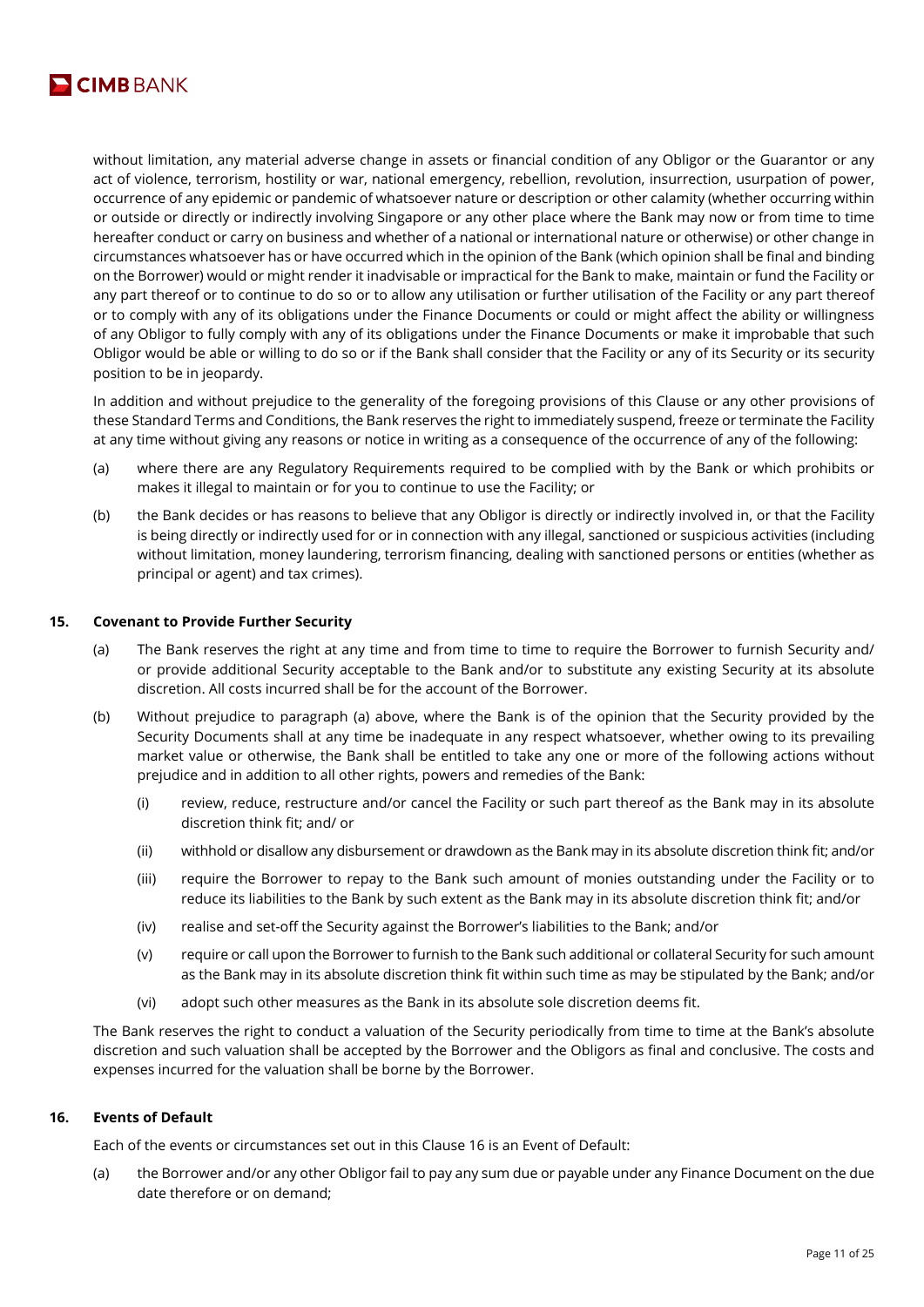

without limitation, any material adverse change in assets or financial condition of any Obligor or the Guarantor or any act of violence, terrorism, hostility or war, national emergency, rebellion, revolution, insurrection, usurpation of power, occurrence of any epidemic or pandemic of whatsoever nature or description or other calamity (whether occurring within or outside or directly or indirectly involving Singapore or any other place where the Bank may now or from time to time hereafter conduct or carry on business and whether of a national or international nature or otherwise) or other change in circumstances whatsoever has or have occurred which in the opinion of the Bank (which opinion shall be final and binding on the Borrower) would or might render it inadvisable or impractical for the Bank to make, maintain or fund the Facility or any part thereof or to continue to do so or to allow any utilisation or further utilisation of the Facility or any part thereof or to comply with any of its obligations under the Finance Documents or could or might affect the ability or willingness of any Obligor to fully comply with any of its obligations under the Finance Documents or make it improbable that such Obligor would be able or willing to do so or if the Bank shall consider that the Facility or any of its Security or its security position to be in jeopardy.

In addition and without prejudice to the generality of the foregoing provisions of this Clause or any other provisions of these Standard Terms and Conditions, the Bank reserves the right to immediately suspend, freeze or terminate the Facility at any time without giving any reasons or notice in writing as a consequence of the occurrence of any of the following:

- (a) where there are any Regulatory Requirements required to be complied with by the Bank or which prohibits or makes it illegal to maintain or for you to continue to use the Facility; or
- (b) the Bank decides or has reasons to believe that any Obligor is directly or indirectly involved in, or that the Facility is being directly or indirectly used for or in connection with any illegal, sanctioned or suspicious activities (including without limitation, money laundering, terrorism financing, dealing with sanctioned persons or entities (whether as principal or agent) and tax crimes).

## **15. Covenant to Provide Further Security**

- (a) The Bank reserves the right at any time and from time to time to require the Borrower to furnish Security and/ or provide additional Security acceptable to the Bank and/or to substitute any existing Security at its absolute discretion. All costs incurred shall be for the account of the Borrower.
- (b) Without prejudice to paragraph (a) above, where the Bank is of the opinion that the Security provided by the Security Documents shall at any time be inadequate in any respect whatsoever, whether owing to its prevailing market value or otherwise, the Bank shall be entitled to take any one or more of the following actions without prejudice and in addition to all other rights, powers and remedies of the Bank:
	- (i) review, reduce, restructure and/or cancel the Facility or such part thereof as the Bank may in its absolute discretion think fit; and/ or
	- (ii) withhold or disallow any disbursement or drawdown as the Bank may in its absolute discretion think fit; and/or
	- (iii) require the Borrower to repay to the Bank such amount of monies outstanding under the Facility or to reduce its liabilities to the Bank by such extent as the Bank may in its absolute discretion think fit; and/or
	- (iv) realise and set-off the Security against the Borrower's liabilities to the Bank; and/or
	- (v) require or call upon the Borrower to furnish to the Bank such additional or collateral Security for such amount as the Bank may in its absolute discretion think fit within such time as may be stipulated by the Bank; and/or
	- (vi) adopt such other measures as the Bank in its absolute sole discretion deems fit.

The Bank reserves the right to conduct a valuation of the Security periodically from time to time at the Bank's absolute discretion and such valuation shall be accepted by the Borrower and the Obligors as final and conclusive. The costs and expenses incurred for the valuation shall be borne by the Borrower.

## **16. Events of Default**

Each of the events or circumstances set out in this Clause 16 is an Event of Default:

(a) the Borrower and/or any other Obligor fail to pay any sum due or payable under any Finance Document on the due date therefore or on demand;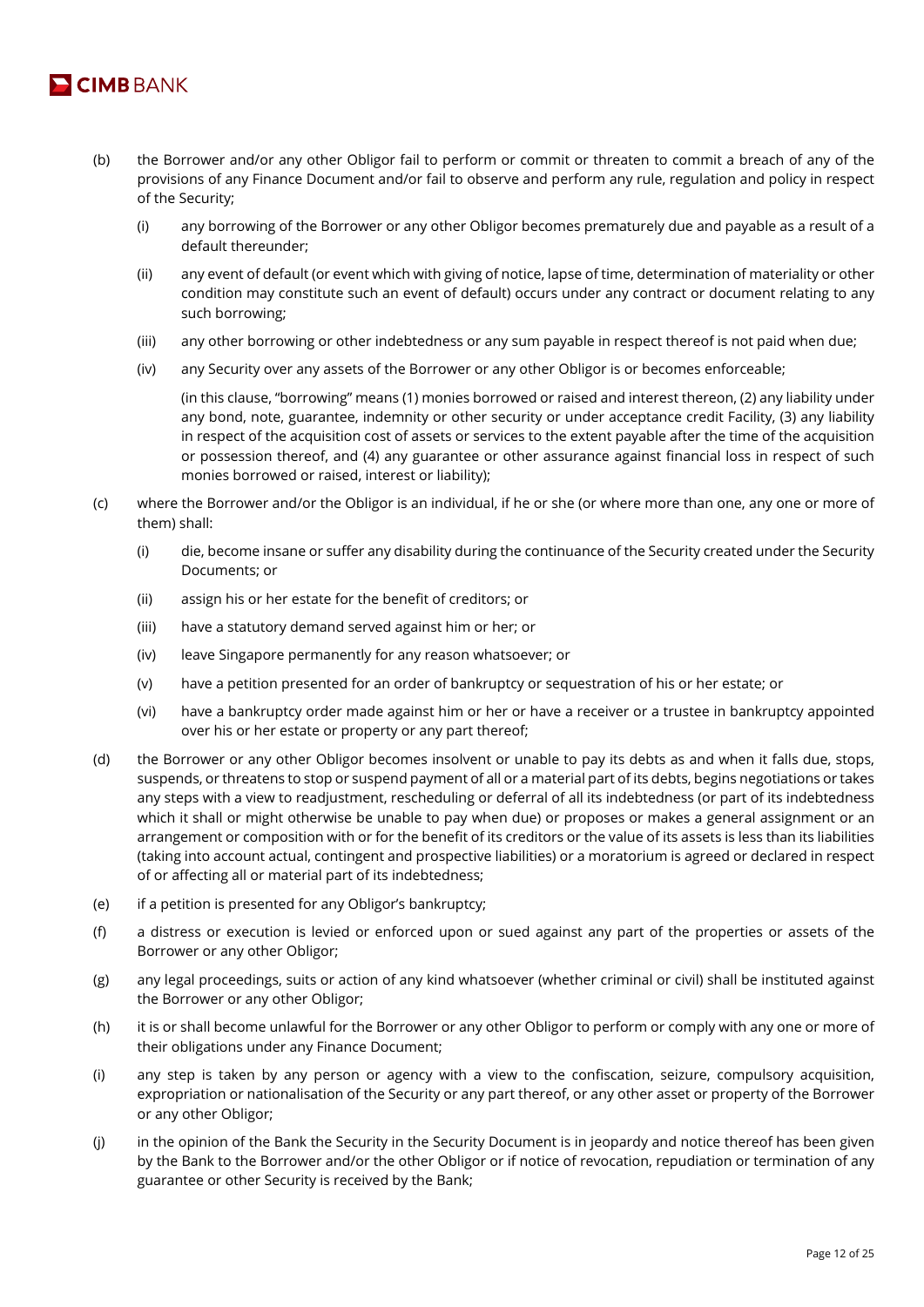

- (b) the Borrower and/or any other Obligor fail to perform or commit or threaten to commit a breach of any of the provisions of any Finance Document and/or fail to observe and perform any rule, regulation and policy in respect of the Security;
	- (i) any borrowing of the Borrower or any other Obligor becomes prematurely due and payable as a result of a default thereunder;
	- (ii) any event of default (or event which with giving of notice, lapse of time, determination of materiality or other condition may constitute such an event of default) occurs under any contract or document relating to any such borrowing;
	- (iii) any other borrowing or other indebtedness or any sum payable in respect thereof is not paid when due;
	- (iv) any Security over any assets of the Borrower or any other Obligor is or becomes enforceable;

(in this clause, "borrowing" means (1) monies borrowed or raised and interest thereon, (2) any liability under any bond, note, guarantee, indemnity or other security or under acceptance credit Facility, (3) any liability in respect of the acquisition cost of assets or services to the extent payable after the time of the acquisition or possession thereof, and (4) any guarantee or other assurance against financial loss in respect of such monies borrowed or raised, interest or liability);

- (c) where the Borrower and/or the Obligor is an individual, if he or she (or where more than one, any one or more of them) shall:
	- (i) die, become insane or suffer any disability during the continuance of the Security created under the Security Documents; or
	- (ii) assign his or her estate for the benefit of creditors; or
	- (iii) have a statutory demand served against him or her; or
	- (iv) leave Singapore permanently for any reason whatsoever; or
	- (v) have a petition presented for an order of bankruptcy or sequestration of his or her estate; or
	- (vi) have a bankruptcy order made against him or her or have a receiver or a trustee in bankruptcy appointed over his or her estate or property or any part thereof;
- (d) the Borrower or any other Obligor becomes insolvent or unable to pay its debts as and when it falls due, stops, suspends, or threatens to stop or suspend payment of all or a material part of its debts, begins negotiations or takes any steps with a view to readjustment, rescheduling or deferral of all its indebtedness (or part of its indebtedness which it shall or might otherwise be unable to pay when due) or proposes or makes a general assignment or an arrangement or composition with or for the benefit of its creditors or the value of its assets is less than its liabilities (taking into account actual, contingent and prospective liabilities) or a moratorium is agreed or declared in respect of or affecting all or material part of its indebtedness;
- (e) if a petition is presented for any Obligor's bankruptcy;
- (f) a distress or execution is levied or enforced upon or sued against any part of the properties or assets of the Borrower or any other Obligor;
- (g) any legal proceedings, suits or action of any kind whatsoever (whether criminal or civil) shall be instituted against the Borrower or any other Obligor;
- (h) it is or shall become unlawful for the Borrower or any other Obligor to perform or comply with any one or more of their obligations under any Finance Document;
- (i) any step is taken by any person or agency with a view to the confiscation, seizure, compulsory acquisition, expropriation or nationalisation of the Security or any part thereof, or any other asset or property of the Borrower or any other Obligor;
- (j) in the opinion of the Bank the Security in the Security Document is in jeopardy and notice thereof has been given by the Bank to the Borrower and/or the other Obligor or if notice of revocation, repudiation or termination of any guarantee or other Security is received by the Bank;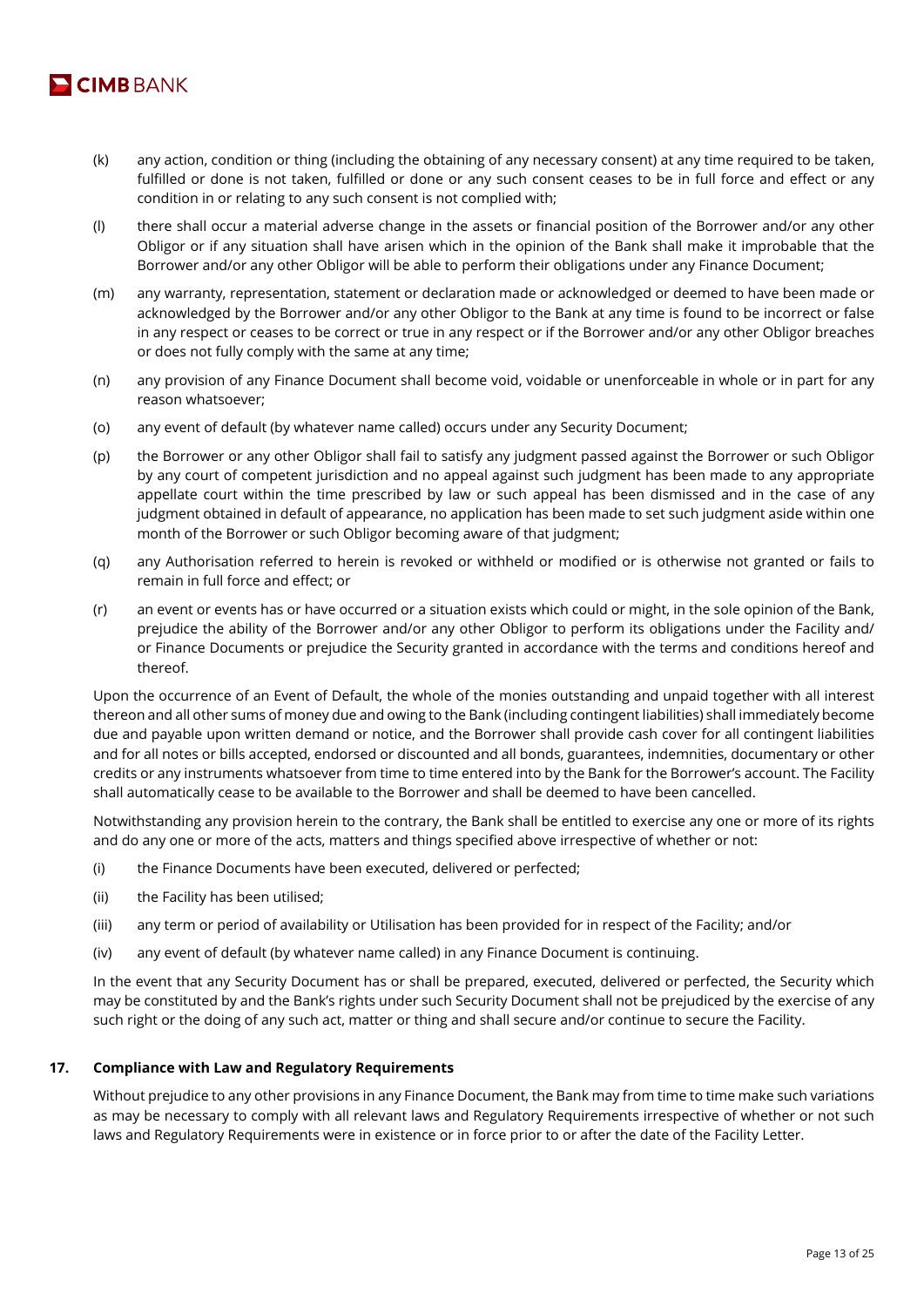

- (k) any action, condition or thing (including the obtaining of any necessary consent) at any time required to be taken, fulfilled or done is not taken, fulfilled or done or any such consent ceases to be in full force and effect or any condition in or relating to any such consent is not complied with;
- (l) there shall occur a material adverse change in the assets or financial position of the Borrower and/or any other Obligor or if any situation shall have arisen which in the opinion of the Bank shall make it improbable that the Borrower and/or any other Obligor will be able to perform their obligations under any Finance Document;
- (m) any warranty, representation, statement or declaration made or acknowledged or deemed to have been made or acknowledged by the Borrower and/or any other Obligor to the Bank at any time is found to be incorrect or false in any respect or ceases to be correct or true in any respect or if the Borrower and/or any other Obligor breaches or does not fully comply with the same at any time;
- (n) any provision of any Finance Document shall become void, voidable or unenforceable in whole or in part for any reason whatsoever;
- (o) any event of default (by whatever name called) occurs under any Security Document;
- (p) the Borrower or any other Obligor shall fail to satisfy any judgment passed against the Borrower or such Obligor by any court of competent jurisdiction and no appeal against such judgment has been made to any appropriate appellate court within the time prescribed by law or such appeal has been dismissed and in the case of any judgment obtained in default of appearance, no application has been made to set such judgment aside within one month of the Borrower or such Obligor becoming aware of that judgment;
- (q) any Authorisation referred to herein is revoked or withheld or modified or is otherwise not granted or fails to remain in full force and effect; or
- (r) an event or events has or have occurred or a situation exists which could or might, in the sole opinion of the Bank, prejudice the ability of the Borrower and/or any other Obligor to perform its obligations under the Facility and/ or Finance Documents or prejudice the Security granted in accordance with the terms and conditions hereof and thereof.

Upon the occurrence of an Event of Default, the whole of the monies outstanding and unpaid together with all interest thereon and all other sums of money due and owing to the Bank (including contingent liabilities) shall immediately become due and payable upon written demand or notice, and the Borrower shall provide cash cover for all contingent liabilities and for all notes or bills accepted, endorsed or discounted and all bonds, guarantees, indemnities, documentary or other credits or any instruments whatsoever from time to time entered into by the Bank for the Borrower's account. The Facility shall automatically cease to be available to the Borrower and shall be deemed to have been cancelled.

Notwithstanding any provision herein to the contrary, the Bank shall be entitled to exercise any one or more of its rights and do any one or more of the acts, matters and things specified above irrespective of whether or not:

- (i) the Finance Documents have been executed, delivered or perfected;
- (ii) the Facility has been utilised;
- (iii) any term or period of availability or Utilisation has been provided for in respect of the Facility; and/or
- (iv) any event of default (by whatever name called) in any Finance Document is continuing.

In the event that any Security Document has or shall be prepared, executed, delivered or perfected, the Security which may be constituted by and the Bank's rights under such Security Document shall not be prejudiced by the exercise of any such right or the doing of any such act, matter or thing and shall secure and/or continue to secure the Facility.

## **17. Compliance with Law and Regulatory Requirements**

Without prejudice to any other provisions in any Finance Document, the Bank may from time to time make such variations as may be necessary to comply with all relevant laws and Regulatory Requirements irrespective of whether or not such laws and Regulatory Requirements were in existence or in force prior to or after the date of the Facility Letter.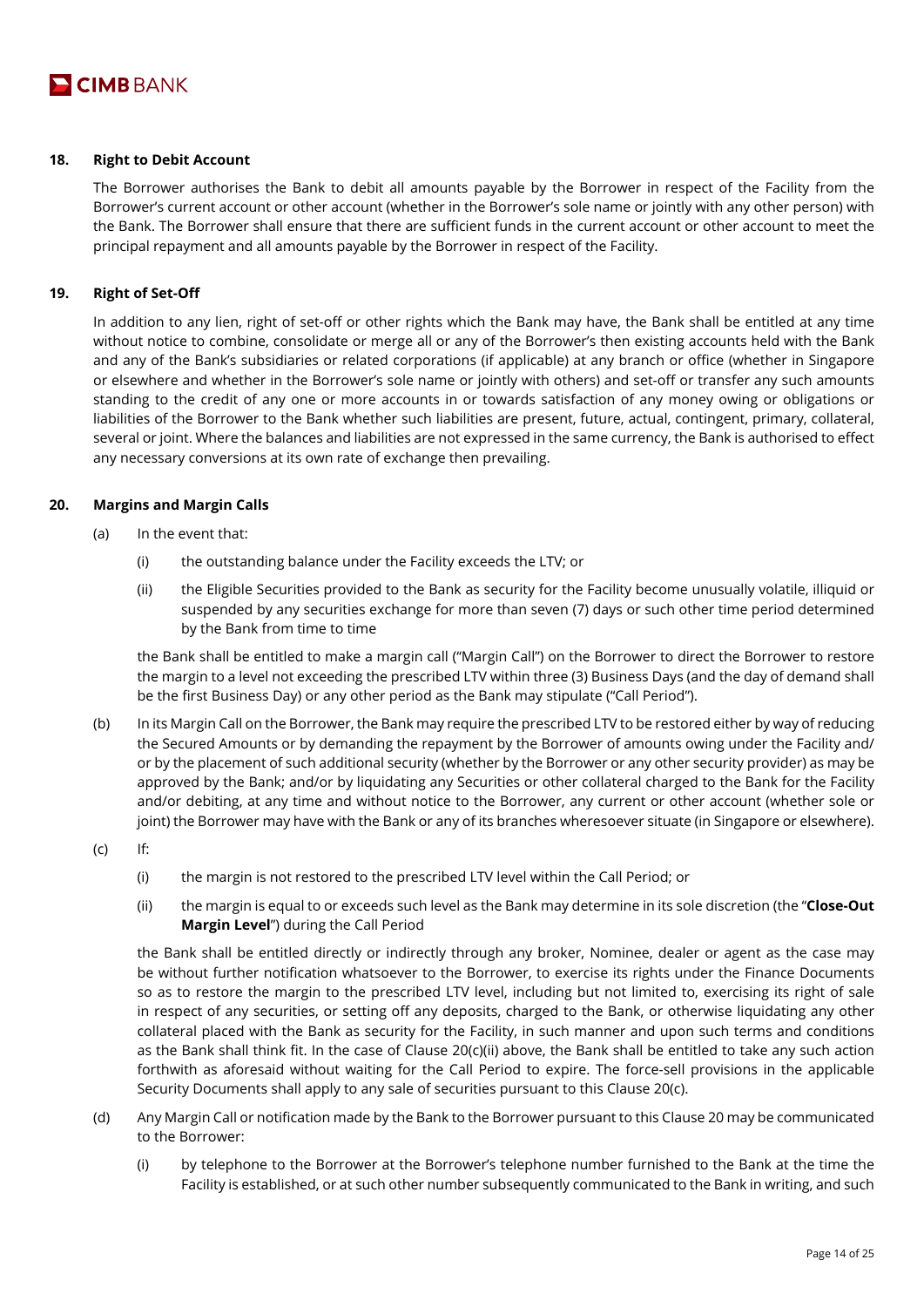

## **18. Right to Debit Account**

The Borrower authorises the Bank to debit all amounts payable by the Borrower in respect of the Facility from the Borrower's current account or other account (whether in the Borrower's sole name or jointly with any other person) with the Bank. The Borrower shall ensure that there are sufficient funds in the current account or other account to meet the principal repayment and all amounts payable by the Borrower in respect of the Facility.

# **19. Right of Set-Off**

In addition to any lien, right of set-off or other rights which the Bank may have, the Bank shall be entitled at any time without notice to combine, consolidate or merge all or any of the Borrower's then existing accounts held with the Bank and any of the Bank's subsidiaries or related corporations (if applicable) at any branch or office (whether in Singapore or elsewhere and whether in the Borrower's sole name or jointly with others) and set-off or transfer any such amounts standing to the credit of any one or more accounts in or towards satisfaction of any money owing or obligations or liabilities of the Borrower to the Bank whether such liabilities are present, future, actual, contingent, primary, collateral, several or joint. Where the balances and liabilities are not expressed in the same currency, the Bank is authorised to effect any necessary conversions at its own rate of exchange then prevailing.

# **20. Margins and Margin Calls**

- (a) In the event that:
	- (i) the outstanding balance under the Facility exceeds the LTV; or
	- (ii) the Eligible Securities provided to the Bank as security for the Facility become unusually volatile, illiquid or suspended by any securities exchange for more than seven (7) days or such other time period determined by the Bank from time to time

the Bank shall be entitled to make a margin call ("Margin Call") on the Borrower to direct the Borrower to restore the margin to a level not exceeding the prescribed LTV within three (3) Business Days (and the day of demand shall be the first Business Day) or any other period as the Bank may stipulate ("Call Period").

- (b) In its Margin Call on the Borrower, the Bank may require the prescribed LTV to be restored either by way of reducing the Secured Amounts or by demanding the repayment by the Borrower of amounts owing under the Facility and/ or by the placement of such additional security (whether by the Borrower or any other security provider) as may be approved by the Bank; and/or by liquidating any Securities or other collateral charged to the Bank for the Facility and/or debiting, at any time and without notice to the Borrower, any current or other account (whether sole or joint) the Borrower may have with the Bank or any of its branches wheresoever situate (in Singapore or elsewhere).
- (c) If:
	- (i) the margin is not restored to the prescribed LTV level within the Call Period; or
	- (ii) the margin is equal to or exceeds such level as the Bank may determine in its sole discretion (the "**Close-Out Margin Level**") during the Call Period

the Bank shall be entitled directly or indirectly through any broker, Nominee, dealer or agent as the case may be without further notification whatsoever to the Borrower, to exercise its rights under the Finance Documents so as to restore the margin to the prescribed LTV level, including but not limited to, exercising its right of sale in respect of any securities, or setting off any deposits, charged to the Bank, or otherwise liquidating any other collateral placed with the Bank as security for the Facility, in such manner and upon such terms and conditions as the Bank shall think fit. In the case of Clause 20(c)(ii) above, the Bank shall be entitled to take any such action forthwith as aforesaid without waiting for the Call Period to expire. The force-sell provisions in the applicable Security Documents shall apply to any sale of securities pursuant to this Clause 20(c).

- (d) Any Margin Call or notification made by the Bank to the Borrower pursuant to this Clause 20 may be communicated to the Borrower:
	- (i) by telephone to the Borrower at the Borrower's telephone number furnished to the Bank at the time the Facility is established, or at such other number subsequently communicated to the Bank in writing, and such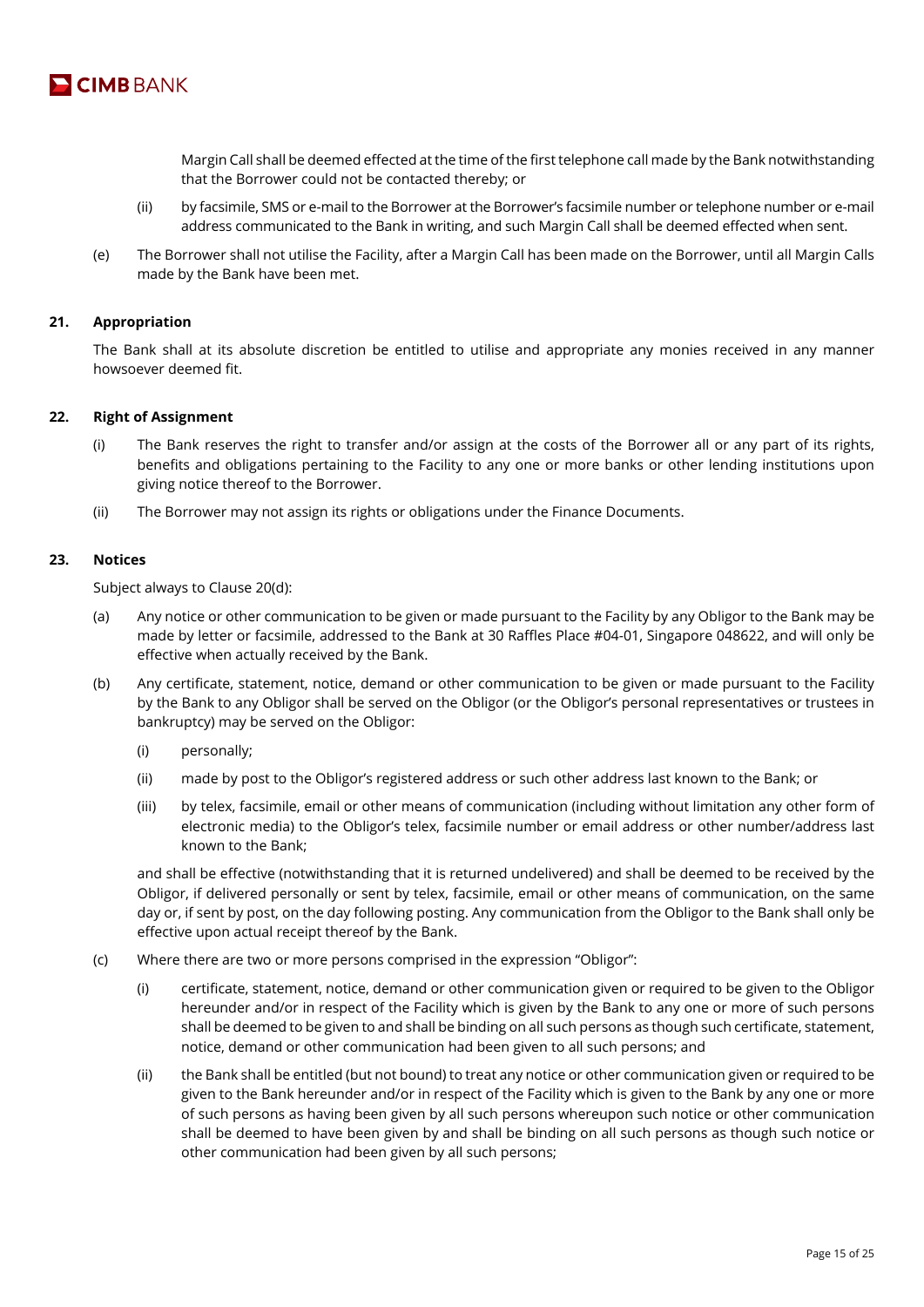

Margin Call shall be deemed effected at the time of the first telephone call made by the Bank notwithstanding that the Borrower could not be contacted thereby; or

- (ii) by facsimile, SMS or e-mail to the Borrower at the Borrower's facsimile number or telephone number or e-mail address communicated to the Bank in writing, and such Margin Call shall be deemed effected when sent.
- (e) The Borrower shall not utilise the Facility, after a Margin Call has been made on the Borrower, until all Margin Calls made by the Bank have been met.

## **21. Appropriation**

The Bank shall at its absolute discretion be entitled to utilise and appropriate any monies received in any manner howsoever deemed fit.

## **22. Right of Assignment**

- (i) The Bank reserves the right to transfer and/or assign at the costs of the Borrower all or any part of its rights, benefits and obligations pertaining to the Facility to any one or more banks or other lending institutions upon giving notice thereof to the Borrower.
- (ii) The Borrower may not assign its rights or obligations under the Finance Documents.

# **23. Notices**

Subject always to Clause 20(d):

- (a) Any notice or other communication to be given or made pursuant to the Facility by any Obligor to the Bank may be made by letter or facsimile, addressed to the Bank at 30 Raffles Place #04-01, Singapore 048622, and will only be effective when actually received by the Bank.
- (b) Any certificate, statement, notice, demand or other communication to be given or made pursuant to the Facility by the Bank to any Obligor shall be served on the Obligor (or the Obligor's personal representatives or trustees in bankruptcy) may be served on the Obligor:
	- (i) personally;
	- (ii) made by post to the Obligor's registered address or such other address last known to the Bank; or
	- (iii) by telex, facsimile, email or other means of communication (including without limitation any other form of electronic media) to the Obligor's telex, facsimile number or email address or other number/address last known to the Bank;

and shall be effective (notwithstanding that it is returned undelivered) and shall be deemed to be received by the Obligor, if delivered personally or sent by telex, facsimile, email or other means of communication, on the same day or, if sent by post, on the day following posting. Any communication from the Obligor to the Bank shall only be effective upon actual receipt thereof by the Bank.

- (c) Where there are two or more persons comprised in the expression "Obligor":
	- (i) certificate, statement, notice, demand or other communication given or required to be given to the Obligor hereunder and/or in respect of the Facility which is given by the Bank to any one or more of such persons shall be deemed to be given to and shall be binding on all such persons as though such certificate, statement, notice, demand or other communication had been given to all such persons; and
	- (ii) the Bank shall be entitled (but not bound) to treat any notice or other communication given or required to be given to the Bank hereunder and/or in respect of the Facility which is given to the Bank by any one or more of such persons as having been given by all such persons whereupon such notice or other communication shall be deemed to have been given by and shall be binding on all such persons as though such notice or other communication had been given by all such persons;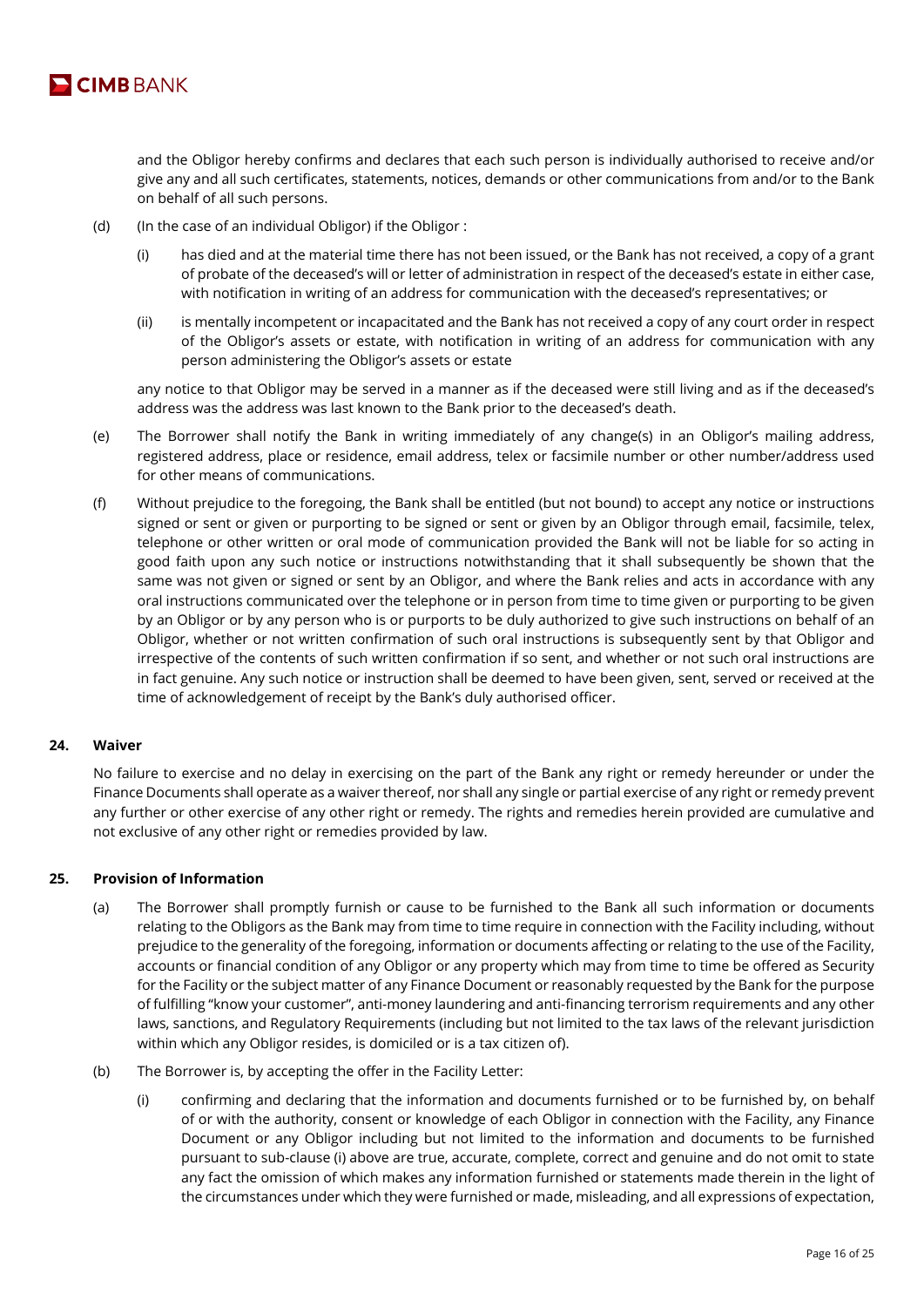

and the Obligor hereby confirms and declares that each such person is individually authorised to receive and/or give any and all such certificates, statements, notices, demands or other communications from and/or to the Bank on behalf of all such persons.

- (d) (In the case of an individual Obligor) if the Obligor :
	- (i) has died and at the material time there has not been issued, or the Bank has not received, a copy of a grant of probate of the deceased's will or letter of administration in respect of the deceased's estate in either case, with notification in writing of an address for communication with the deceased's representatives; or
	- (ii) is mentally incompetent or incapacitated and the Bank has not received a copy of any court order in respect of the Obligor's assets or estate, with notification in writing of an address for communication with any person administering the Obligor's assets or estate

any notice to that Obligor may be served in a manner as if the deceased were still living and as if the deceased's address was the address was last known to the Bank prior to the deceased's death.

- (e) The Borrower shall notify the Bank in writing immediately of any change(s) in an Obligor's mailing address, registered address, place or residence, email address, telex or facsimile number or other number/address used for other means of communications.
- (f) Without prejudice to the foregoing, the Bank shall be entitled (but not bound) to accept any notice or instructions signed or sent or given or purporting to be signed or sent or given by an Obligor through email, facsimile, telex, telephone or other written or oral mode of communication provided the Bank will not be liable for so acting in good faith upon any such notice or instructions notwithstanding that it shall subsequently be shown that the same was not given or signed or sent by an Obligor, and where the Bank relies and acts in accordance with any oral instructions communicated over the telephone or in person from time to time given or purporting to be given by an Obligor or by any person who is or purports to be duly authorized to give such instructions on behalf of an Obligor, whether or not written confirmation of such oral instructions is subsequently sent by that Obligor and irrespective of the contents of such written confirmation if so sent, and whether or not such oral instructions are in fact genuine. Any such notice or instruction shall be deemed to have been given, sent, served or received at the time of acknowledgement of receipt by the Bank's duly authorised officer.

## **24. Waiver**

No failure to exercise and no delay in exercising on the part of the Bank any right or remedy hereunder or under the Finance Documents shall operate as a waiver thereof, nor shall any single or partial exercise of any right or remedy prevent any further or other exercise of any other right or remedy. The rights and remedies herein provided are cumulative and not exclusive of any other right or remedies provided by law.

## **25. Provision of Information**

- (a) The Borrower shall promptly furnish or cause to be furnished to the Bank all such information or documents relating to the Obligors as the Bank may from time to time require in connection with the Facility including, without prejudice to the generality of the foregoing, information or documents affecting or relating to the use of the Facility, accounts or financial condition of any Obligor or any property which may from time to time be offered as Security for the Facility or the subject matter of any Finance Document or reasonably requested by the Bank for the purpose of fulfilling "know your customer", anti-money laundering and anti-financing terrorism requirements and any other laws, sanctions, and Regulatory Requirements (including but not limited to the tax laws of the relevant jurisdiction within which any Obligor resides, is domiciled or is a tax citizen of).
- (b) The Borrower is, by accepting the offer in the Facility Letter:
	- (i) confirming and declaring that the information and documents furnished or to be furnished by, on behalf of or with the authority, consent or knowledge of each Obligor in connection with the Facility, any Finance Document or any Obligor including but not limited to the information and documents to be furnished pursuant to sub-clause (i) above are true, accurate, complete, correct and genuine and do not omit to state any fact the omission of which makes any information furnished or statements made therein in the light of the circumstances under which they were furnished or made, misleading, and all expressions of expectation,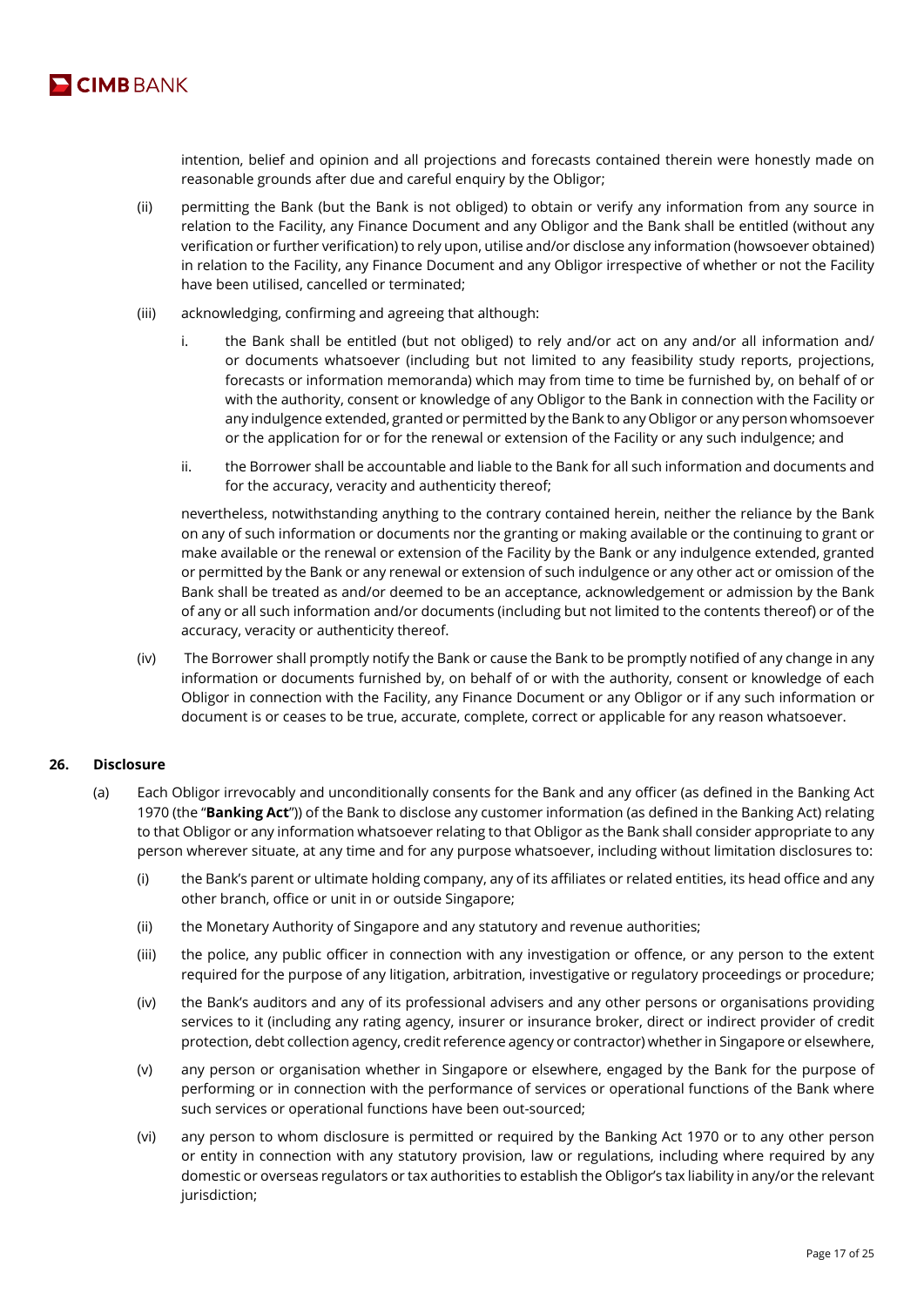

intention, belief and opinion and all projections and forecasts contained therein were honestly made on reasonable grounds after due and careful enquiry by the Obligor;

- (ii) permitting the Bank (but the Bank is not obliged) to obtain or verify any information from any source in relation to the Facility, any Finance Document and any Obligor and the Bank shall be entitled (without any verification or further verification) to rely upon, utilise and/or disclose any information (howsoever obtained) in relation to the Facility, any Finance Document and any Obligor irrespective of whether or not the Facility have been utilised, cancelled or terminated;
- (iii) acknowledging, confirming and agreeing that although:
	- i. the Bank shall be entitled (but not obliged) to rely and/or act on any and/or all information and/ or documents whatsoever (including but not limited to any feasibility study reports, projections, forecasts or information memoranda) which may from time to time be furnished by, on behalf of or with the authority, consent or knowledge of any Obligor to the Bank in connection with the Facility or any indulgence extended, granted or permitted by the Bank to any Obligor or any person whomsoever or the application for or for the renewal or extension of the Facility or any such indulgence; and
	- ii. the Borrower shall be accountable and liable to the Bank for all such information and documents and for the accuracy, veracity and authenticity thereof;

nevertheless, notwithstanding anything to the contrary contained herein, neither the reliance by the Bank on any of such information or documents nor the granting or making available or the continuing to grant or make available or the renewal or extension of the Facility by the Bank or any indulgence extended, granted or permitted by the Bank or any renewal or extension of such indulgence or any other act or omission of the Bank shall be treated as and/or deemed to be an acceptance, acknowledgement or admission by the Bank of any or all such information and/or documents (including but not limited to the contents thereof) or of the accuracy, veracity or authenticity thereof.

(iv) The Borrower shall promptly notify the Bank or cause the Bank to be promptly notified of any change in any information or documents furnished by, on behalf of or with the authority, consent or knowledge of each Obligor in connection with the Facility, any Finance Document or any Obligor or if any such information or document is or ceases to be true, accurate, complete, correct or applicable for any reason whatsoever.

## **26. Disclosure**

- (a) Each Obligor irrevocably and unconditionally consents for the Bank and any officer (as defined in the Banking Act 1970 (the "**Banking Act**")) of the Bank to disclose any customer information (as defined in the Banking Act) relating to that Obligor or any information whatsoever relating to that Obligor as the Bank shall consider appropriate to any person wherever situate, at any time and for any purpose whatsoever, including without limitation disclosures to:
	- (i) the Bank's parent or ultimate holding company, any of its affiliates or related entities, its head office and any other branch, office or unit in or outside Singapore;
	- (ii) the Monetary Authority of Singapore and any statutory and revenue authorities;
	- (iii) the police, any public officer in connection with any investigation or offence, or any person to the extent required for the purpose of any litigation, arbitration, investigative or regulatory proceedings or procedure;
	- (iv) the Bank's auditors and any of its professional advisers and any other persons or organisations providing services to it (including any rating agency, insurer or insurance broker, direct or indirect provider of credit protection, debt collection agency, credit reference agency or contractor) whether in Singapore or elsewhere,
	- (v) any person or organisation whether in Singapore or elsewhere, engaged by the Bank for the purpose of performing or in connection with the performance of services or operational functions of the Bank where such services or operational functions have been out-sourced;
	- (vi) any person to whom disclosure is permitted or required by the Banking Act 1970 or to any other person or entity in connection with any statutory provision, law or regulations, including where required by any domestic or overseas regulators or tax authorities to establish the Obligor's tax liability in any/or the relevant jurisdiction;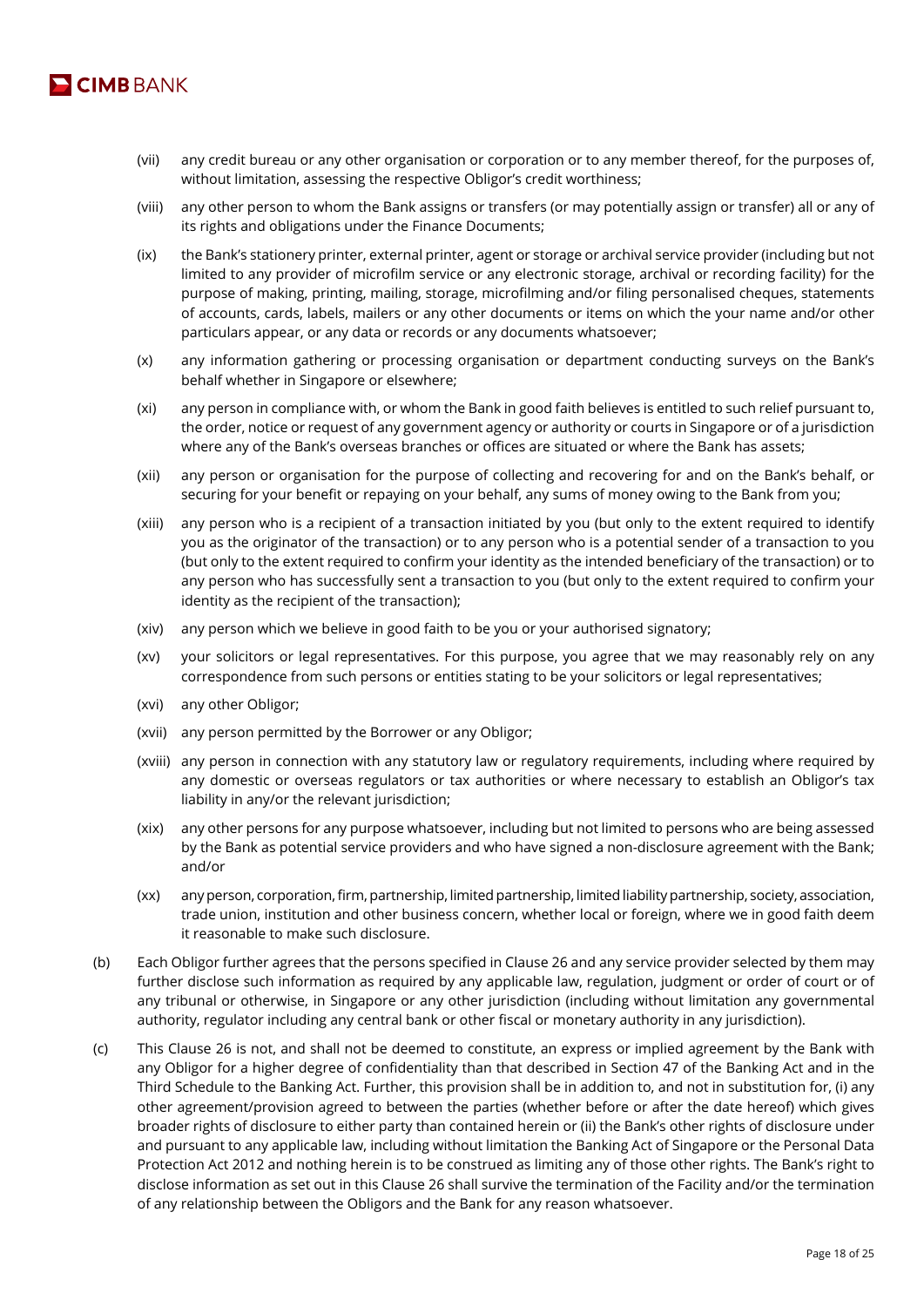

- (vii) any credit bureau or any other organisation or corporation or to any member thereof, for the purposes of, without limitation, assessing the respective Obligor's credit worthiness;
- (viii) any other person to whom the Bank assigns or transfers (or may potentially assign or transfer) all or any of its rights and obligations under the Finance Documents;
- (ix) the Bank's stationery printer, external printer, agent or storage or archival service provider (including but not limited to any provider of microfilm service or any electronic storage, archival or recording facility) for the purpose of making, printing, mailing, storage, microfilming and/or filing personalised cheques, statements of accounts, cards, labels, mailers or any other documents or items on which the your name and/or other particulars appear, or any data or records or any documents whatsoever;
- (x) any information gathering or processing organisation or department conducting surveys on the Bank's behalf whether in Singapore or elsewhere;
- (xi) any person in compliance with, or whom the Bank in good faith believes is entitled to such relief pursuant to, the order, notice or request of any government agency or authority or courts in Singapore or of a jurisdiction where any of the Bank's overseas branches or offices are situated or where the Bank has assets;
- (xii) any person or organisation for the purpose of collecting and recovering for and on the Bank's behalf, or securing for your benefit or repaying on your behalf, any sums of money owing to the Bank from you;
- (xiii) any person who is a recipient of a transaction initiated by you (but only to the extent required to identify you as the originator of the transaction) or to any person who is a potential sender of a transaction to you (but only to the extent required to confirm your identity as the intended beneficiary of the transaction) or to any person who has successfully sent a transaction to you (but only to the extent required to confirm your identity as the recipient of the transaction);
- (xiv) any person which we believe in good faith to be you or your authorised signatory;
- (xv) your solicitors or legal representatives. For this purpose, you agree that we may reasonably rely on any correspondence from such persons or entities stating to be your solicitors or legal representatives;
- (xvi) any other Obligor;
- (xvii) any person permitted by the Borrower or any Obligor;
- (xviii) any person in connection with any statutory law or regulatory requirements, including where required by any domestic or overseas regulators or tax authorities or where necessary to establish an Obligor's tax liability in any/or the relevant jurisdiction;
- (xix) any other persons for any purpose whatsoever, including but not limited to persons who are being assessed by the Bank as potential service providers and who have signed a non-disclosure agreement with the Bank; and/or
- (xx) any person, corporation, firm, partnership, limited partnership, limited liability partnership, society, association, trade union, institution and other business concern, whether local or foreign, where we in good faith deem it reasonable to make such disclosure.
- (b) Each Obligor further agrees that the persons specified in Clause 26 and any service provider selected by them may further disclose such information as required by any applicable law, regulation, judgment or order of court or of any tribunal or otherwise, in Singapore or any other jurisdiction (including without limitation any governmental authority, regulator including any central bank or other fiscal or monetary authority in any jurisdiction).
- (c) This Clause 26 is not, and shall not be deemed to constitute, an express or implied agreement by the Bank with any Obligor for a higher degree of confidentiality than that described in Section 47 of the Banking Act and in the Third Schedule to the Banking Act. Further, this provision shall be in addition to, and not in substitution for, (i) any other agreement/provision agreed to between the parties (whether before or after the date hereof) which gives broader rights of disclosure to either party than contained herein or (ii) the Bank's other rights of disclosure under and pursuant to any applicable law, including without limitation the Banking Act of Singapore or the Personal Data Protection Act 2012 and nothing herein is to be construed as limiting any of those other rights. The Bank's right to disclose information as set out in this Clause 26 shall survive the termination of the Facility and/or the termination of any relationship between the Obligors and the Bank for any reason whatsoever.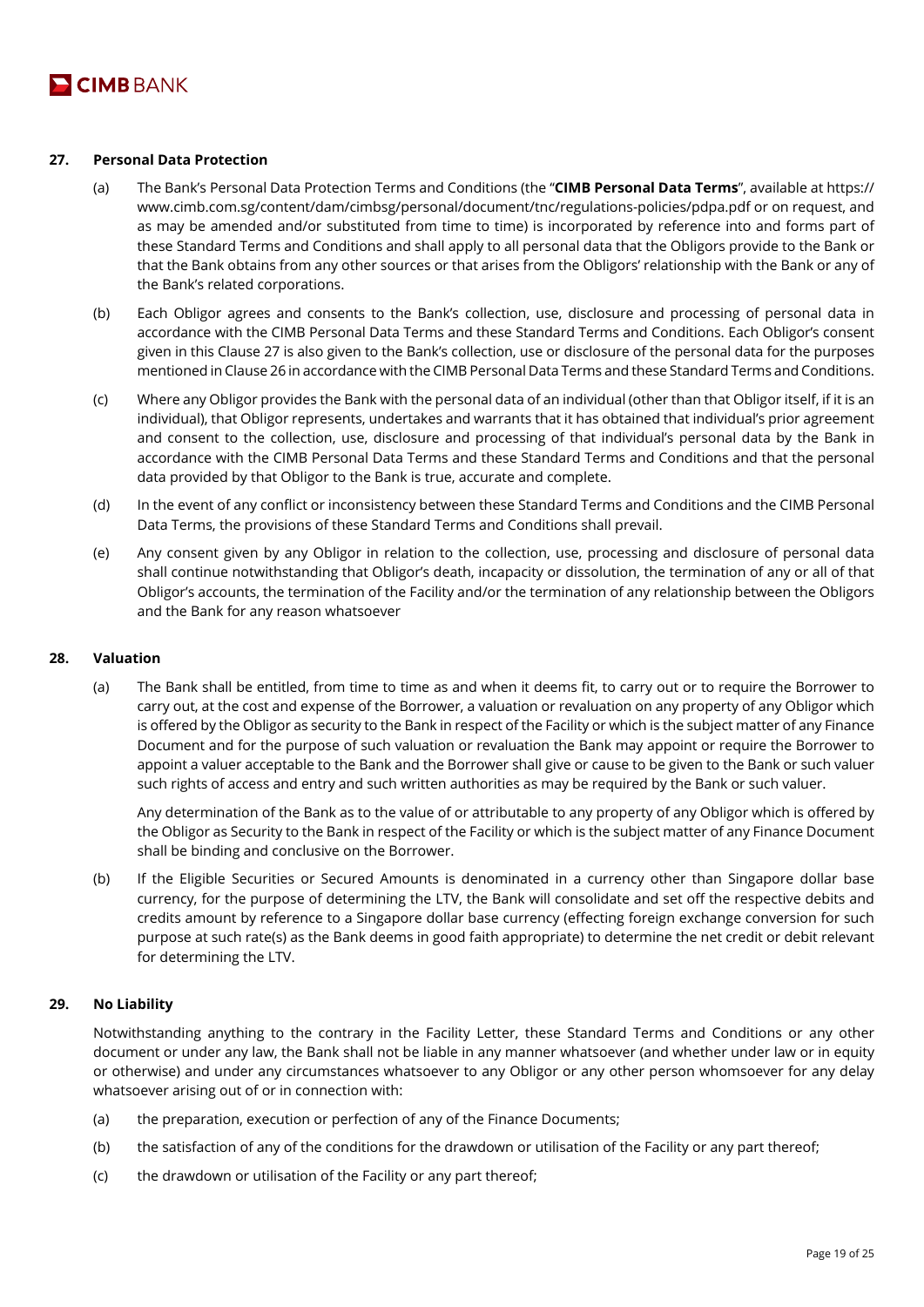

# **27. Personal Data Protection**

- (a) The Bank's Personal Data Protection Terms and Conditions (the "**CIMB Personal Data Terms**", available at https:// www.cimb.com.sg/content/dam/cimbsg/personal/document/tnc/regulations-policies/pdpa.pdf or on request, and as may be amended and/or substituted from time to time) is incorporated by reference into and forms part of these Standard Terms and Conditions and shall apply to all personal data that the Obligors provide to the Bank or that the Bank obtains from any other sources or that arises from the Obligors' relationship with the Bank or any of the Bank's related corporations.
- (b) Each Obligor agrees and consents to the Bank's collection, use, disclosure and processing of personal data in accordance with the CIMB Personal Data Terms and these Standard Terms and Conditions. Each Obligor's consent given in this Clause 27 is also given to the Bank's collection, use or disclosure of the personal data for the purposes mentioned in Clause 26 in accordance with the CIMB Personal Data Terms and these Standard Terms and Conditions.
- (c) Where any Obligor provides the Bank with the personal data of an individual (other than that Obligor itself, if it is an individual), that Obligor represents, undertakes and warrants that it has obtained that individual's prior agreement and consent to the collection, use, disclosure and processing of that individual's personal data by the Bank in accordance with the CIMB Personal Data Terms and these Standard Terms and Conditions and that the personal data provided by that Obligor to the Bank is true, accurate and complete.
- (d) In the event of any conflict or inconsistency between these Standard Terms and Conditions and the CIMB Personal Data Terms, the provisions of these Standard Terms and Conditions shall prevail.
- (e) Any consent given by any Obligor in relation to the collection, use, processing and disclosure of personal data shall continue notwithstanding that Obligor's death, incapacity or dissolution, the termination of any or all of that Obligor's accounts, the termination of the Facility and/or the termination of any relationship between the Obligors and the Bank for any reason whatsoever

#### **28. Valuation**

(a) The Bank shall be entitled, from time to time as and when it deems fit, to carry out or to require the Borrower to carry out, at the cost and expense of the Borrower, a valuation or revaluation on any property of any Obligor which is offered by the Obligor as security to the Bank in respect of the Facility or which is the subject matter of any Finance Document and for the purpose of such valuation or revaluation the Bank may appoint or require the Borrower to appoint a valuer acceptable to the Bank and the Borrower shall give or cause to be given to the Bank or such valuer such rights of access and entry and such written authorities as may be required by the Bank or such valuer.

Any determination of the Bank as to the value of or attributable to any property of any Obligor which is offered by the Obligor as Security to the Bank in respect of the Facility or which is the subject matter of any Finance Document shall be binding and conclusive on the Borrower.

(b) If the Eligible Securities or Secured Amounts is denominated in a currency other than Singapore dollar base currency, for the purpose of determining the LTV, the Bank will consolidate and set off the respective debits and credits amount by reference to a Singapore dollar base currency (effecting foreign exchange conversion for such purpose at such rate(s) as the Bank deems in good faith appropriate) to determine the net credit or debit relevant for determining the LTV.

## **29. No Liability**

Notwithstanding anything to the contrary in the Facility Letter, these Standard Terms and Conditions or any other document or under any law, the Bank shall not be liable in any manner whatsoever (and whether under law or in equity or otherwise) and under any circumstances whatsoever to any Obligor or any other person whomsoever for any delay whatsoever arising out of or in connection with:

- (a) the preparation, execution or perfection of any of the Finance Documents;
- (b) the satisfaction of any of the conditions for the drawdown or utilisation of the Facility or any part thereof;
- (c) the drawdown or utilisation of the Facility or any part thereof;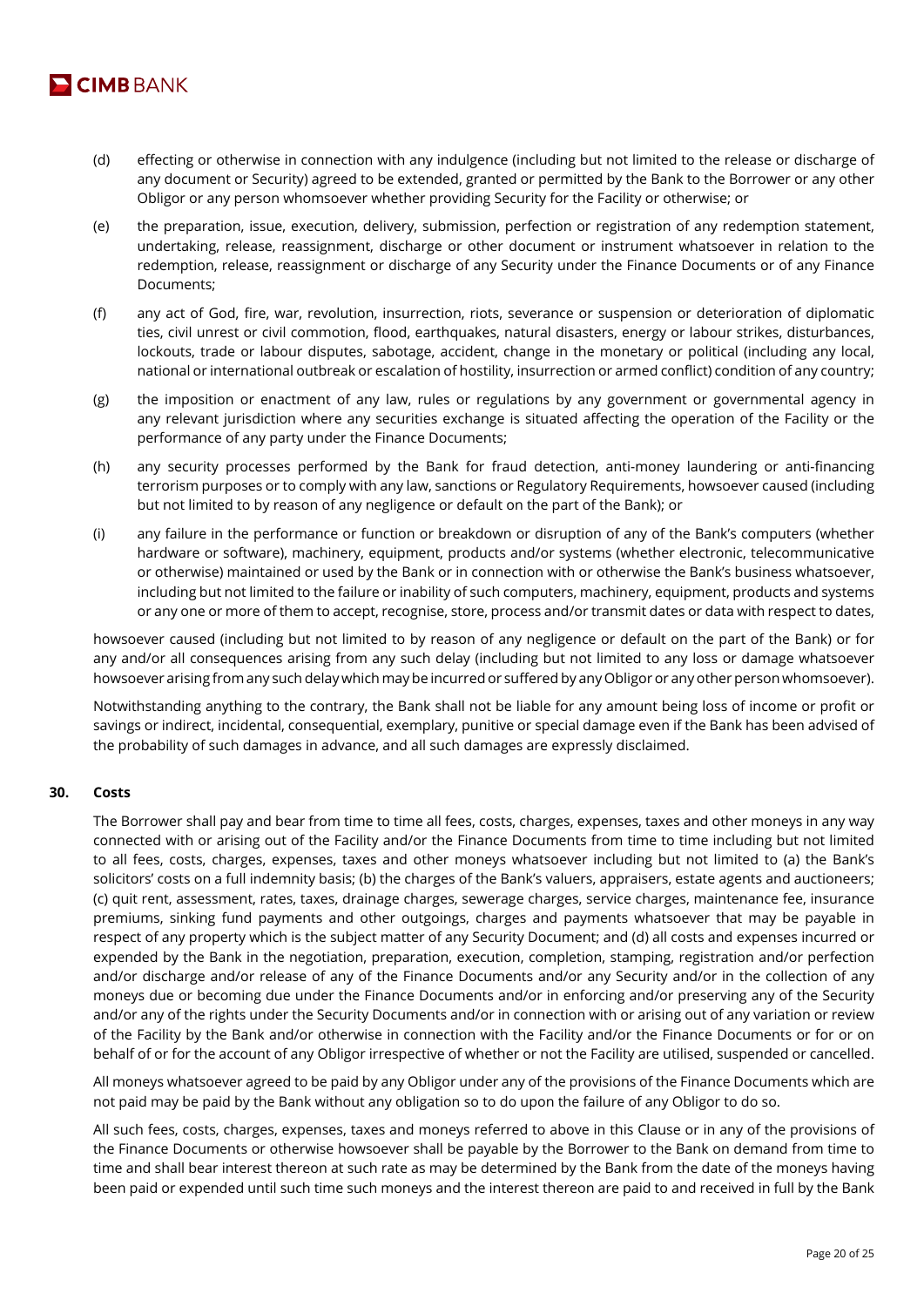

- (d) effecting or otherwise in connection with any indulgence (including but not limited to the release or discharge of any document or Security) agreed to be extended, granted or permitted by the Bank to the Borrower or any other Obligor or any person whomsoever whether providing Security for the Facility or otherwise; or
- (e) the preparation, issue, execution, delivery, submission, perfection or registration of any redemption statement, undertaking, release, reassignment, discharge or other document or instrument whatsoever in relation to the redemption, release, reassignment or discharge of any Security under the Finance Documents or of any Finance Documents;
- (f) any act of God, fire, war, revolution, insurrection, riots, severance or suspension or deterioration of diplomatic ties, civil unrest or civil commotion, flood, earthquakes, natural disasters, energy or labour strikes, disturbances, lockouts, trade or labour disputes, sabotage, accident, change in the monetary or political (including any local, national or international outbreak or escalation of hostility, insurrection or armed conflict) condition of any country;
- (g) the imposition or enactment of any law, rules or regulations by any government or governmental agency in any relevant jurisdiction where any securities exchange is situated affecting the operation of the Facility or the performance of any party under the Finance Documents;
- (h) any security processes performed by the Bank for fraud detection, anti-money laundering or anti-financing terrorism purposes or to comply with any law, sanctions or Regulatory Requirements, howsoever caused (including but not limited to by reason of any negligence or default on the part of the Bank); or
- (i) any failure in the performance or function or breakdown or disruption of any of the Bank's computers (whether hardware or software), machinery, equipment, products and/or systems (whether electronic, telecommunicative or otherwise) maintained or used by the Bank or in connection with or otherwise the Bank's business whatsoever, including but not limited to the failure or inability of such computers, machinery, equipment, products and systems or any one or more of them to accept, recognise, store, process and/or transmit dates or data with respect to dates,

howsoever caused (including but not limited to by reason of any negligence or default on the part of the Bank) or for any and/or all consequences arising from any such delay (including but not limited to any loss or damage whatsoever howsoever arising from any such delay which may be incurred or suffered by any Obligor or any other person whomsoever).

Notwithstanding anything to the contrary, the Bank shall not be liable for any amount being loss of income or profit or savings or indirect, incidental, consequential, exemplary, punitive or special damage even if the Bank has been advised of the probability of such damages in advance, and all such damages are expressly disclaimed.

## **30. Costs**

The Borrower shall pay and bear from time to time all fees, costs, charges, expenses, taxes and other moneys in any way connected with or arising out of the Facility and/or the Finance Documents from time to time including but not limited to all fees, costs, charges, expenses, taxes and other moneys whatsoever including but not limited to (a) the Bank's solicitors' costs on a full indemnity basis; (b) the charges of the Bank's valuers, appraisers, estate agents and auctioneers; (c) quit rent, assessment, rates, taxes, drainage charges, sewerage charges, service charges, maintenance fee, insurance premiums, sinking fund payments and other outgoings, charges and payments whatsoever that may be payable in respect of any property which is the subject matter of any Security Document; and (d) all costs and expenses incurred or expended by the Bank in the negotiation, preparation, execution, completion, stamping, registration and/or perfection and/or discharge and/or release of any of the Finance Documents and/or any Security and/or in the collection of any moneys due or becoming due under the Finance Documents and/or in enforcing and/or preserving any of the Security and/or any of the rights under the Security Documents and/or in connection with or arising out of any variation or review of the Facility by the Bank and/or otherwise in connection with the Facility and/or the Finance Documents or for or on behalf of or for the account of any Obligor irrespective of whether or not the Facility are utilised, suspended or cancelled.

All moneys whatsoever agreed to be paid by any Obligor under any of the provisions of the Finance Documents which are not paid may be paid by the Bank without any obligation so to do upon the failure of any Obligor to do so.

All such fees, costs, charges, expenses, taxes and moneys referred to above in this Clause or in any of the provisions of the Finance Documents or otherwise howsoever shall be payable by the Borrower to the Bank on demand from time to time and shall bear interest thereon at such rate as may be determined by the Bank from the date of the moneys having been paid or expended until such time such moneys and the interest thereon are paid to and received in full by the Bank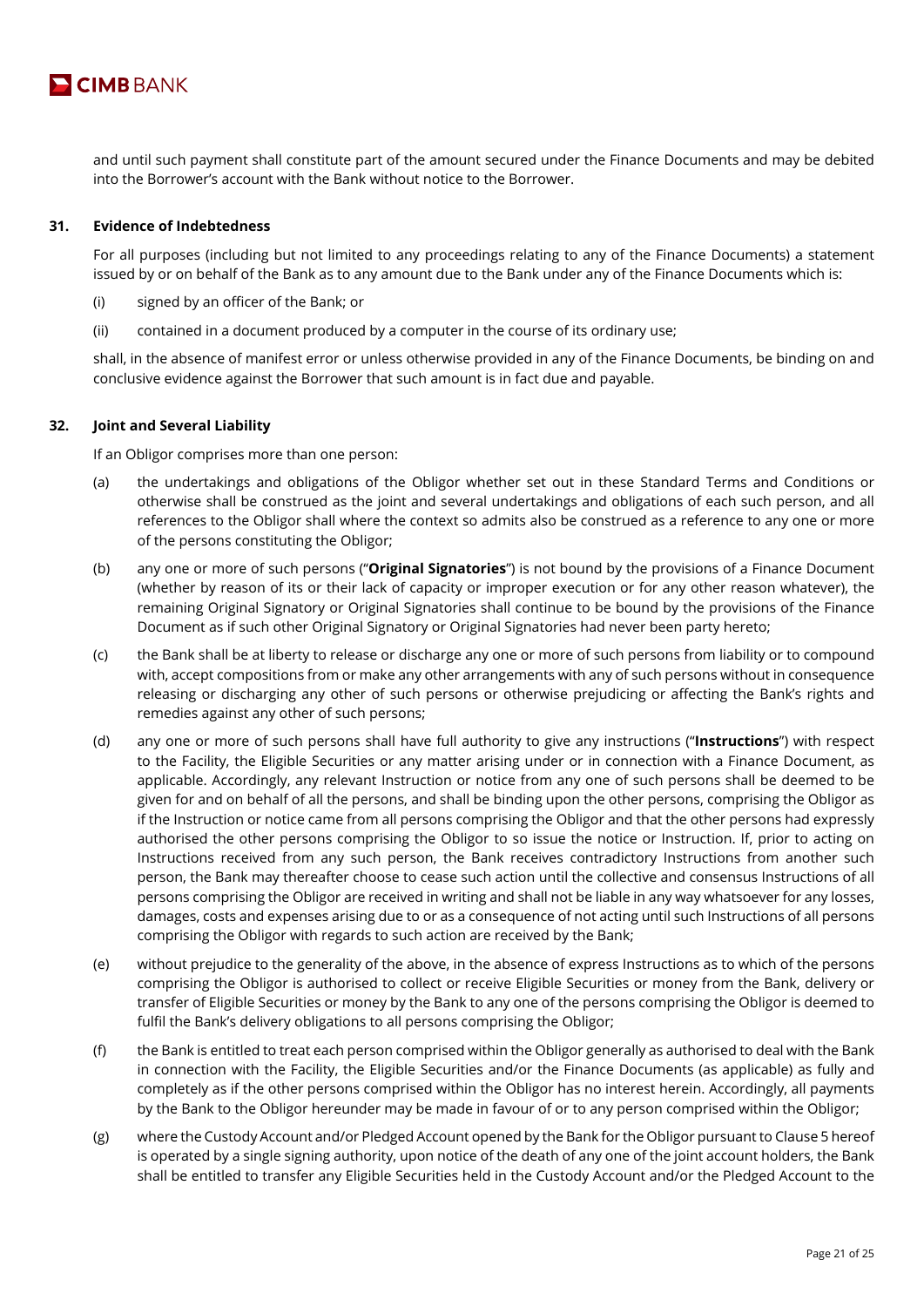

and until such payment shall constitute part of the amount secured under the Finance Documents and may be debited into the Borrower's account with the Bank without notice to the Borrower.

#### **31. Evidence of Indebtedness**

For all purposes (including but not limited to any proceedings relating to any of the Finance Documents) a statement issued by or on behalf of the Bank as to any amount due to the Bank under any of the Finance Documents which is:

- (i) signed by an officer of the Bank; or
- (ii) contained in a document produced by a computer in the course of its ordinary use;

shall, in the absence of manifest error or unless otherwise provided in any of the Finance Documents, be binding on and conclusive evidence against the Borrower that such amount is in fact due and payable.

#### **32. Joint and Several Liability**

If an Obligor comprises more than one person:

- (a) the undertakings and obligations of the Obligor whether set out in these Standard Terms and Conditions or otherwise shall be construed as the joint and several undertakings and obligations of each such person, and all references to the Obligor shall where the context so admits also be construed as a reference to any one or more of the persons constituting the Obligor;
- (b) any one or more of such persons ("**Original Signatories**") is not bound by the provisions of a Finance Document (whether by reason of its or their lack of capacity or improper execution or for any other reason whatever), the remaining Original Signatory or Original Signatories shall continue to be bound by the provisions of the Finance Document as if such other Original Signatory or Original Signatories had never been party hereto;
- (c) the Bank shall be at liberty to release or discharge any one or more of such persons from liability or to compound with, accept compositions from or make any other arrangements with any of such persons without in consequence releasing or discharging any other of such persons or otherwise prejudicing or affecting the Bank's rights and remedies against any other of such persons;
- (d) any one or more of such persons shall have full authority to give any instructions ("**Instructions**") with respect to the Facility, the Eligible Securities or any matter arising under or in connection with a Finance Document, as applicable. Accordingly, any relevant Instruction or notice from any one of such persons shall be deemed to be given for and on behalf of all the persons, and shall be binding upon the other persons, comprising the Obligor as if the Instruction or notice came from all persons comprising the Obligor and that the other persons had expressly authorised the other persons comprising the Obligor to so issue the notice or Instruction. If, prior to acting on Instructions received from any such person, the Bank receives contradictory Instructions from another such person, the Bank may thereafter choose to cease such action until the collective and consensus Instructions of all persons comprising the Obligor are received in writing and shall not be liable in any way whatsoever for any losses, damages, costs and expenses arising due to or as a consequence of not acting until such Instructions of all persons comprising the Obligor with regards to such action are received by the Bank;
- (e) without prejudice to the generality of the above, in the absence of express Instructions as to which of the persons comprising the Obligor is authorised to collect or receive Eligible Securities or money from the Bank, delivery or transfer of Eligible Securities or money by the Bank to any one of the persons comprising the Obligor is deemed to fulfil the Bank's delivery obligations to all persons comprising the Obligor;
- (f) the Bank is entitled to treat each person comprised within the Obligor generally as authorised to deal with the Bank in connection with the Facility, the Eligible Securities and/or the Finance Documents (as applicable) as fully and completely as if the other persons comprised within the Obligor has no interest herein. Accordingly, all payments by the Bank to the Obligor hereunder may be made in favour of or to any person comprised within the Obligor;
- (g) where the Custody Account and/or Pledged Account opened by the Bank for the Obligor pursuant to Clause 5 hereof is operated by a single signing authority, upon notice of the death of any one of the joint account holders, the Bank shall be entitled to transfer any Eligible Securities held in the Custody Account and/or the Pledged Account to the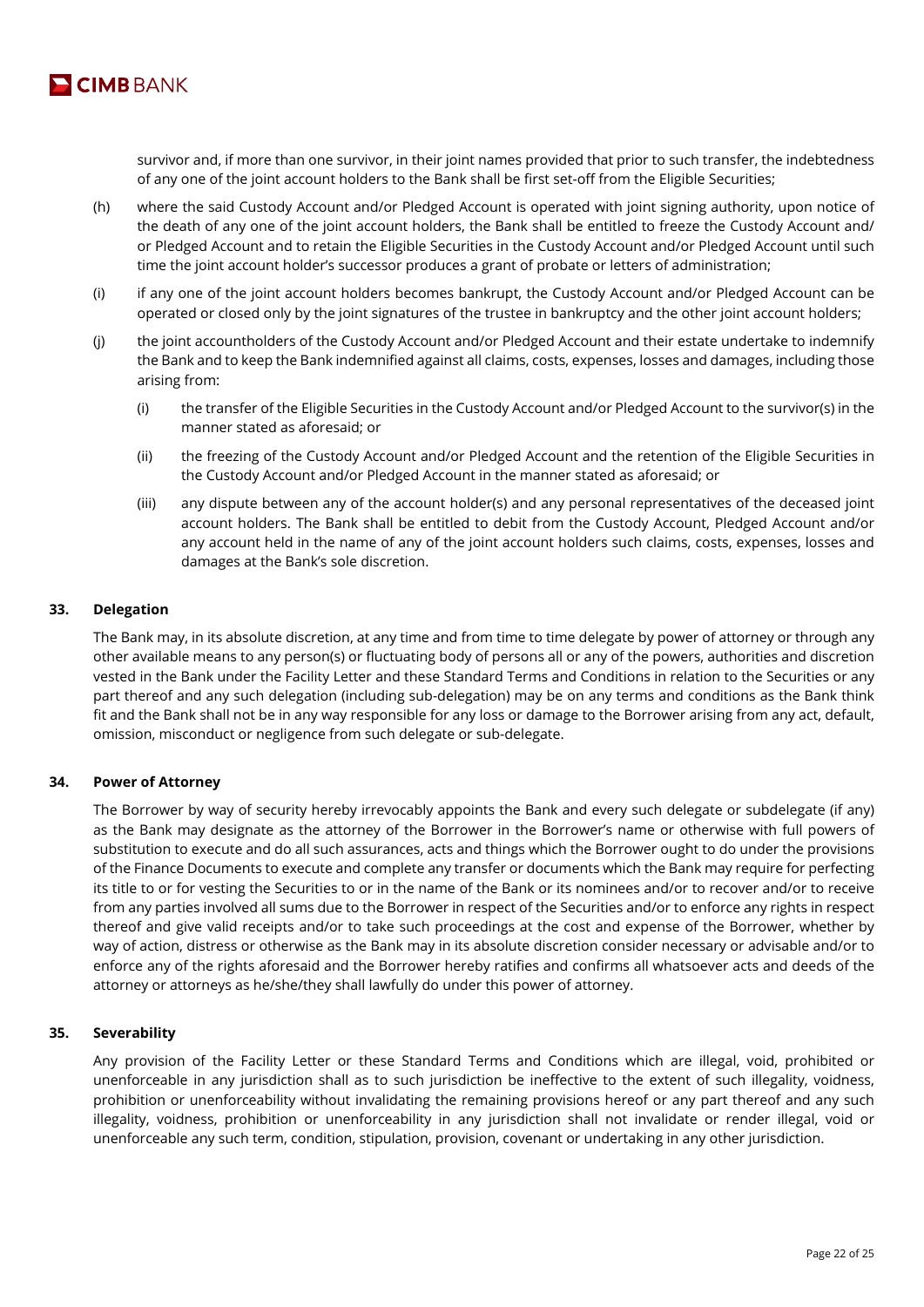

survivor and, if more than one survivor, in their joint names provided that prior to such transfer, the indebtedness of any one of the joint account holders to the Bank shall be first set-off from the Eligible Securities;

- (h) where the said Custody Account and/or Pledged Account is operated with joint signing authority, upon notice of the death of any one of the joint account holders, the Bank shall be entitled to freeze the Custody Account and/ or Pledged Account and to retain the Eligible Securities in the Custody Account and/or Pledged Account until such time the joint account holder's successor produces a grant of probate or letters of administration;
- (i) if any one of the joint account holders becomes bankrupt, the Custody Account and/or Pledged Account can be operated or closed only by the joint signatures of the trustee in bankruptcy and the other joint account holders;
- (j) the joint accountholders of the Custody Account and/or Pledged Account and their estate undertake to indemnify the Bank and to keep the Bank indemnified against all claims, costs, expenses, losses and damages, including those arising from:
	- (i) the transfer of the Eligible Securities in the Custody Account and/or Pledged Account to the survivor(s) in the manner stated as aforesaid; or
	- (ii) the freezing of the Custody Account and/or Pledged Account and the retention of the Eligible Securities in the Custody Account and/or Pledged Account in the manner stated as aforesaid; or
	- (iii) any dispute between any of the account holder(s) and any personal representatives of the deceased joint account holders. The Bank shall be entitled to debit from the Custody Account, Pledged Account and/or any account held in the name of any of the joint account holders such claims, costs, expenses, losses and damages at the Bank's sole discretion.

# **33. Delegation**

The Bank may, in its absolute discretion, at any time and from time to time delegate by power of attorney or through any other available means to any person(s) or fluctuating body of persons all or any of the powers, authorities and discretion vested in the Bank under the Facility Letter and these Standard Terms and Conditions in relation to the Securities or any part thereof and any such delegation (including sub-delegation) may be on any terms and conditions as the Bank think fit and the Bank shall not be in any way responsible for any loss or damage to the Borrower arising from any act, default, omission, misconduct or negligence from such delegate or sub-delegate.

## **34. Power of Attorney**

The Borrower by way of security hereby irrevocably appoints the Bank and every such delegate or subdelegate (if any) as the Bank may designate as the attorney of the Borrower in the Borrower's name or otherwise with full powers of substitution to execute and do all such assurances, acts and things which the Borrower ought to do under the provisions of the Finance Documents to execute and complete any transfer or documents which the Bank may require for perfecting its title to or for vesting the Securities to or in the name of the Bank or its nominees and/or to recover and/or to receive from any parties involved all sums due to the Borrower in respect of the Securities and/or to enforce any rights in respect thereof and give valid receipts and/or to take such proceedings at the cost and expense of the Borrower, whether by way of action, distress or otherwise as the Bank may in its absolute discretion consider necessary or advisable and/or to enforce any of the rights aforesaid and the Borrower hereby ratifies and confirms all whatsoever acts and deeds of the attorney or attorneys as he/she/they shall lawfully do under this power of attorney.

## **35. Severability**

Any provision of the Facility Letter or these Standard Terms and Conditions which are illegal, void, prohibited or unenforceable in any jurisdiction shall as to such jurisdiction be ineffective to the extent of such illegality, voidness, prohibition or unenforceability without invalidating the remaining provisions hereof or any part thereof and any such illegality, voidness, prohibition or unenforceability in any jurisdiction shall not invalidate or render illegal, void or unenforceable any such term, condition, stipulation, provision, covenant or undertaking in any other jurisdiction.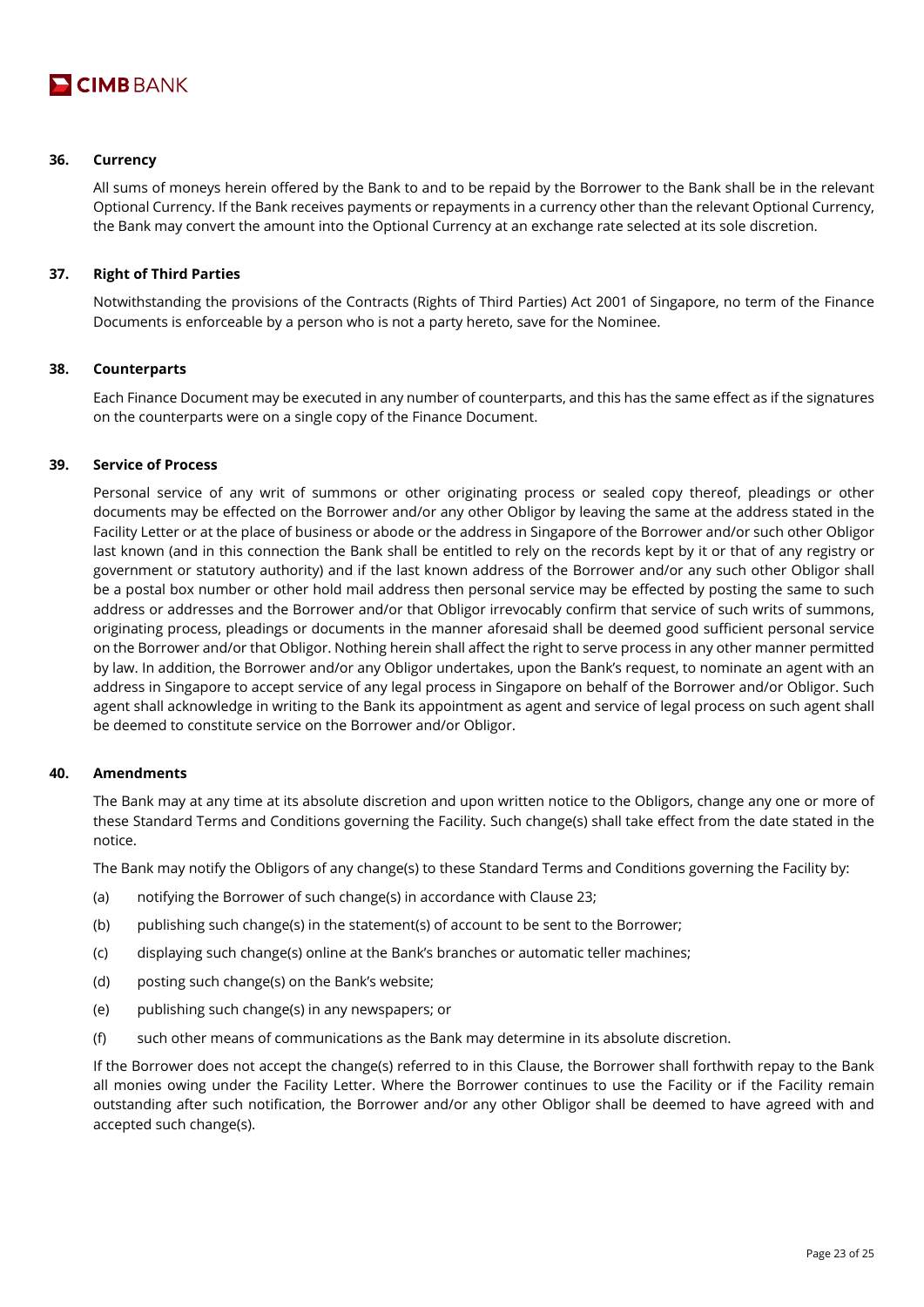

#### **36. Currency**

All sums of moneys herein offered by the Bank to and to be repaid by the Borrower to the Bank shall be in the relevant Optional Currency. If the Bank receives payments or repayments in a currency other than the relevant Optional Currency, the Bank may convert the amount into the Optional Currency at an exchange rate selected at its sole discretion.

## **37. Right of Third Parties**

Notwithstanding the provisions of the Contracts (Rights of Third Parties) Act 2001 of Singapore, no term of the Finance Documents is enforceable by a person who is not a party hereto, save for the Nominee.

#### **38. Counterparts**

Each Finance Document may be executed in any number of counterparts, and this has the same effect as if the signatures on the counterparts were on a single copy of the Finance Document.

#### **39. Service of Process**

Personal service of any writ of summons or other originating process or sealed copy thereof, pleadings or other documents may be effected on the Borrower and/or any other Obligor by leaving the same at the address stated in the Facility Letter or at the place of business or abode or the address in Singapore of the Borrower and/or such other Obligor last known (and in this connection the Bank shall be entitled to rely on the records kept by it or that of any registry or government or statutory authority) and if the last known address of the Borrower and/or any such other Obligor shall be a postal box number or other hold mail address then personal service may be effected by posting the same to such address or addresses and the Borrower and/or that Obligor irrevocably confirm that service of such writs of summons, originating process, pleadings or documents in the manner aforesaid shall be deemed good sufficient personal service on the Borrower and/or that Obligor. Nothing herein shall affect the right to serve process in any other manner permitted by law. In addition, the Borrower and/or any Obligor undertakes, upon the Bank's request, to nominate an agent with an address in Singapore to accept service of any legal process in Singapore on behalf of the Borrower and/or Obligor. Such agent shall acknowledge in writing to the Bank its appointment as agent and service of legal process on such agent shall be deemed to constitute service on the Borrower and/or Obligor.

## **40. Amendments**

The Bank may at any time at its absolute discretion and upon written notice to the Obligors, change any one or more of these Standard Terms and Conditions governing the Facility. Such change(s) shall take effect from the date stated in the notice.

The Bank may notify the Obligors of any change(s) to these Standard Terms and Conditions governing the Facility by:

- (a) notifying the Borrower of such change(s) in accordance with Clause 23;
- (b) publishing such change(s) in the statement(s) of account to be sent to the Borrower;
- (c) displaying such change(s) online at the Bank's branches or automatic teller machines;
- (d) posting such change(s) on the Bank's website;
- (e) publishing such change(s) in any newspapers; or
- (f) such other means of communications as the Bank may determine in its absolute discretion.

If the Borrower does not accept the change(s) referred to in this Clause, the Borrower shall forthwith repay to the Bank all monies owing under the Facility Letter. Where the Borrower continues to use the Facility or if the Facility remain outstanding after such notification, the Borrower and/or any other Obligor shall be deemed to have agreed with and accepted such change(s).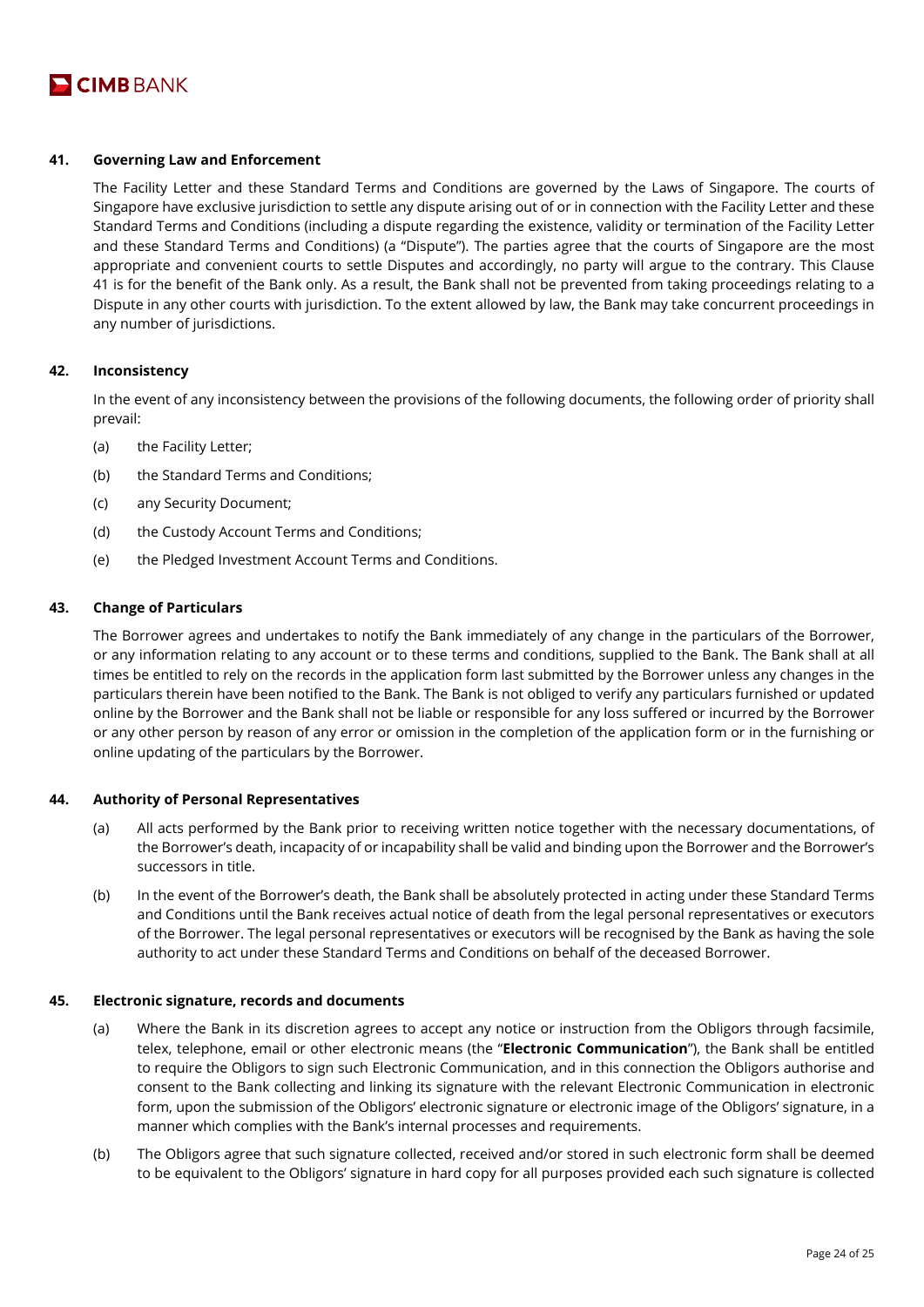

## **41. Governing Law and Enforcement**

The Facility Letter and these Standard Terms and Conditions are governed by the Laws of Singapore. The courts of Singapore have exclusive jurisdiction to settle any dispute arising out of or in connection with the Facility Letter and these Standard Terms and Conditions (including a dispute regarding the existence, validity or termination of the Facility Letter and these Standard Terms and Conditions) (a "Dispute"). The parties agree that the courts of Singapore are the most appropriate and convenient courts to settle Disputes and accordingly, no party will argue to the contrary. This Clause 41 is for the benefit of the Bank only. As a result, the Bank shall not be prevented from taking proceedings relating to a Dispute in any other courts with jurisdiction. To the extent allowed by law, the Bank may take concurrent proceedings in any number of jurisdictions.

#### **42. Inconsistency**

In the event of any inconsistency between the provisions of the following documents, the following order of priority shall prevail:

- (a) the Facility Letter;
- (b) the Standard Terms and Conditions;
- (c) any Security Document;
- (d) the Custody Account Terms and Conditions;
- (e) the Pledged Investment Account Terms and Conditions.

# **43. Change of Particulars**

The Borrower agrees and undertakes to notify the Bank immediately of any change in the particulars of the Borrower, or any information relating to any account or to these terms and conditions, supplied to the Bank. The Bank shall at all times be entitled to rely on the records in the application form last submitted by the Borrower unless any changes in the particulars therein have been notified to the Bank. The Bank is not obliged to verify any particulars furnished or updated online by the Borrower and the Bank shall not be liable or responsible for any loss suffered or incurred by the Borrower or any other person by reason of any error or omission in the completion of the application form or in the furnishing or online updating of the particulars by the Borrower.

#### **44. Authority of Personal Representatives**

- (a) All acts performed by the Bank prior to receiving written notice together with the necessary documentations, of the Borrower's death, incapacity of or incapability shall be valid and binding upon the Borrower and the Borrower's successors in title.
- (b) In the event of the Borrower's death, the Bank shall be absolutely protected in acting under these Standard Terms and Conditions until the Bank receives actual notice of death from the legal personal representatives or executors of the Borrower. The legal personal representatives or executors will be recognised by the Bank as having the sole authority to act under these Standard Terms and Conditions on behalf of the deceased Borrower.

#### **45. Electronic signature, records and documents**

- (a) Where the Bank in its discretion agrees to accept any notice or instruction from the Obligors through facsimile, telex, telephone, email or other electronic means (the "**Electronic Communication**"), the Bank shall be entitled to require the Obligors to sign such Electronic Communication, and in this connection the Obligors authorise and consent to the Bank collecting and linking its signature with the relevant Electronic Communication in electronic form, upon the submission of the Obligors' electronic signature or electronic image of the Obligors' signature, in a manner which complies with the Bank's internal processes and requirements.
- (b) The Obligors agree that such signature collected, received and/or stored in such electronic form shall be deemed to be equivalent to the Obligors' signature in hard copy for all purposes provided each such signature is collected